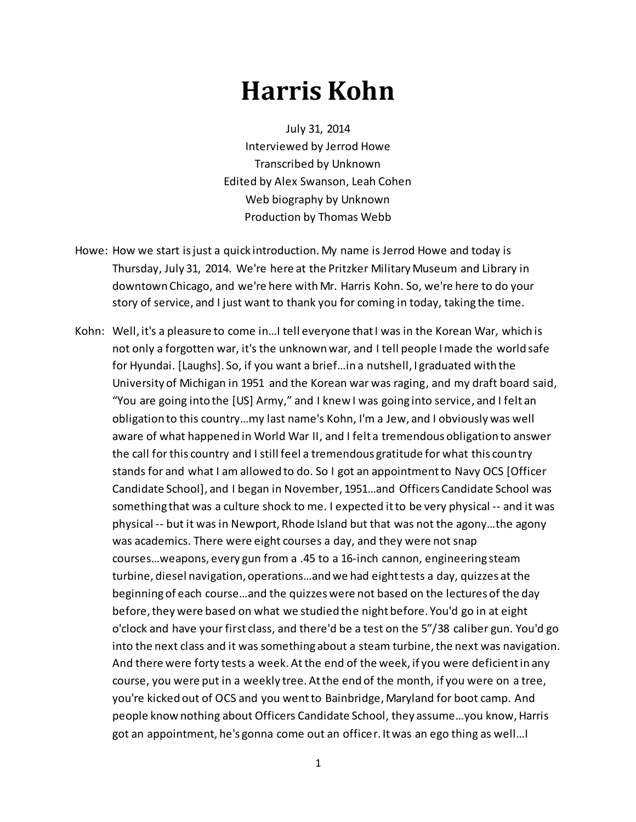## **Harris Kohn**

July 31, 2014 Interviewed by Jerrod Howe Transcribed by Unknown Edited by Alex Swanson, Leah Cohen Web biography by Unknown Production by Thomas Webb

- Howe: How we start is just a quick introduction. My name is Jerrod Howe and today is Thursday, July 31, 2014. We're here at the Pritzker Military Museum and Library in downtown Chicago, and we're here with Mr. Harris Kohn. So, we're here to do your story of service, and I just want to thank you for coming in today, taking the time.
- Kohn: Well, it's a pleasure to come in…I tell everyone that I was in the Korean War, which is not only a forgotten war, it's the unknown war, and I tell people I made the world safe for Hyundai. [Laughs]. So, if you want a brief…in a nutshell, I graduated with the University of Michigan in 1951 and the Korean war was raging, and my draft board said, "You are going into the [US] Army," and I knew I was going into service, and I felt an obligation to this country…my last name's Kohn, I'm a Jew, and I obviously was well aware of what happened in World War II, and I felt a tremendous obligation to answer the call for this country and I still feel a tremendous gratitude for what this country stands for and what I am allowed to do. So I got an appointment to Navy OCS [Officer Candidate School], and I began in November, 1951…and Officers Candidate School was something that was a culture shock to me. I expected it to be very physical -- and it was physical -- but it was in Newport, Rhode Island but that was not the agony…the agony was academics. There were eight courses a day, and they were not snap courses…weapons, every gun from a .45 to a 16-inch cannon, engineering steam turbine, diesel navigation, operations…and we had eighttests a day, quizzes at the beginning of each course…and the quizzes were not based on the lectures of the day before, they were based on what we studied the night before. You'd go in at eight o'clock and have your first class, and there'd be a test on the 5"/38 caliber gun. You'd go into the next class and it was something about a steam turbine, the next was navigation. And there were forty tests a week. Atthe end of the week, if you were deficient in any course, you were put in a weekly tree. At the end of the month, if you were on a tree, you're kicked out of OCS and you went to Bainbridge, Maryland for boot camp. And people know nothing about Officers Candidate School, they assume…you know, Harris got an appointment, he's gonna come out an officer. It was an ego thing as well…I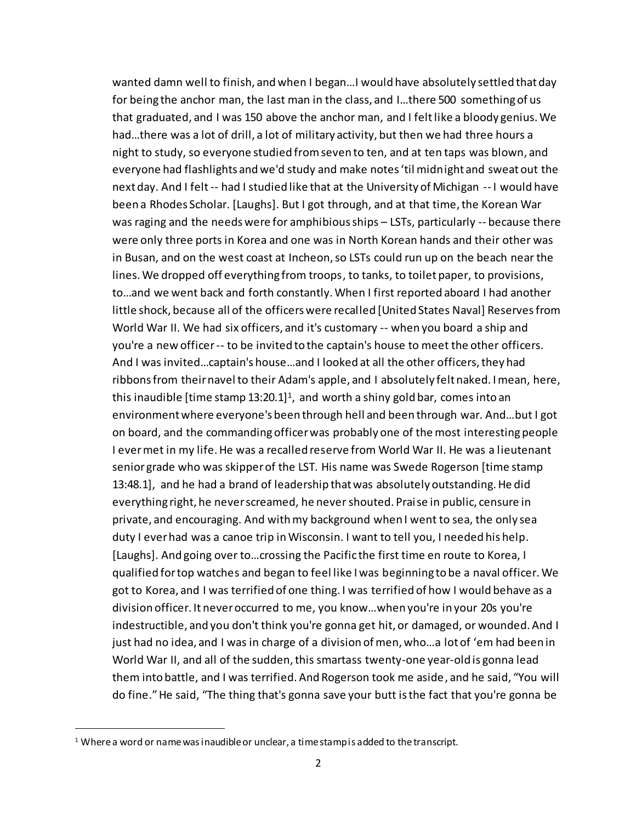wanted damn well to finish, and when I began…I would have absolutely settled that day for being the anchor man, the last man in the class, and I…there 500 something of us that graduated, and I was 150 above the anchor man, and I feltlike a bloody genius. We had…there was a lot of drill, a lot of military activity, but then we had three hours a night to study, so everyone studied from seven to ten, and at ten taps was blown, and everyone had flashlights and we'd study and make notes 'til midnight and sweat out the next day. And I felt -- had I studied like that at the University of Michigan -- I would have been a Rhodes Scholar. [Laughs]. But I got through, and at that time, the Korean War was raging and the needs were for amphibious ships – LSTs, particularly -- because there were only three ports in Korea and one was in North Korean hands and their other was in Busan, and on the west coast at Incheon, so LSTs could run up on the beach near the lines. We dropped off everything from troops, to tanks, to toilet paper, to provisions, to…and we went back and forth constantly. When I first reported aboard I had another little shock, because all of the officers were recalled [United States Naval] Reservesfrom World War II. We had six officers, and it's customary -- when you board a ship and you're a new officer -- to be invited to the captain's house to meet the other officers. And I was invited…captain's house…and I looked at all the other officers, they had ribbons from their navel to their Adam's apple, and I absolutely felt naked. I mean, here, this inaudible [time stamp 13:20.1]<sup>1</sup>, and worth a shiny gold bar, comes into an environment where everyone's been through hell and been through war. And…but I got on board, and the commanding officer was probably one of the most interesting people I ever met in my life. He was a recalled reserve from World War II. He was a lieutenant senior grade who was skipper of the LST. His name was Swede Rogerson [time stamp 13:48.1], and he had a brand of leadership that was absolutely outstanding. He did everything right, he never screamed, he never shouted. Praise in public, censure in private, and encouraging. And with my background when I went to sea, the only sea duty I ever had was a canoe trip in Wisconsin. I want to tell you, I needed his help. [Laughs]. And going over to…crossing the Pacific the first time en route to Korea, I qualified for top watches and began to feel like I was beginning to be a naval officer. We got to Korea, and I was terrified of one thing. I was terrified of how I would behave as a division officer. It never occurred to me, you know…when you're in your 20s you're indestructible, and you don't think you're gonna get hit, or damaged, or wounded. And I just had no idea, and I was in charge of a division of men, who…a lot of 'em had been in World War II, and all of the sudden, this smartass twenty-one year-old is gonna lead them into battle, and I was terrified. And Rogerson took me aside, and he said, "You will do fine."He said, "The thing that's gonna save your butt is the fact that you're gonna be

I

 $1$  Where a word or name was inaudible or unclear, a time stamp is added to the transcript.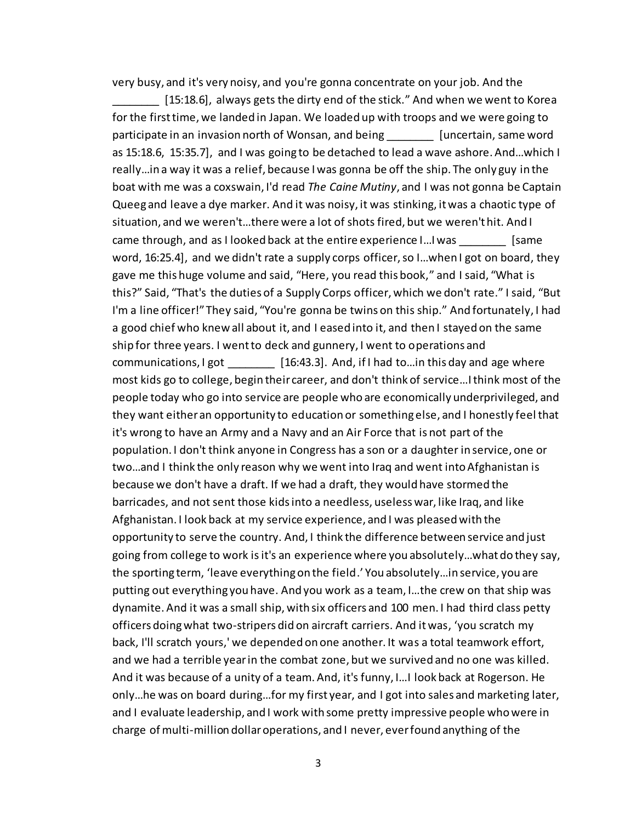very busy, and it's very noisy, and you're gonna concentrate on your job. And the

[15:18.6], always gets the dirty end of the stick." And when we went to Korea for the first time, we landed in Japan. We loaded up with troops and we were going to participate in an invasion north of Wonsan, and being [uncertain, same word] as 15:18.6, 15:35.7], and I was going to be detached to lead a wave ashore. And…which I really…in a way it was a relief, because I was gonna be off the ship. The only guy in the boat with me was a coxswain, I'd read *The Caine Mutiny*, and I was not gonna be Captain Queeg and leave a dye marker. And it was noisy, it was stinking, it was a chaotic type of situation, and we weren't…there were a lot of shots fired, but we weren't hit. And I came through, and as I looked back at the entire experience I... I was [same word, 16:25.4], and we didn't rate a supply corps officer, so I…when I got on board, they gave me this huge volume and said, "Here, you read this book," and I said, "What is this?" Said, "That's the duties of a Supply Corps officer, which we don't rate." I said, "But I'm a line officer!" They said, "You're gonna be twins on this ship." And fortunately, I had a good chief who knew all about it, and I eased into it, and then I stayed on the same ship for three years. I went to deck and gunnery, I went to operations and communications, I got [16:43.3]. And, if I had to... in this day and age where most kids go to college, begin their career, and don't think of service…I think most of the people today who go into service are people who are economically underprivileged, and they want either an opportunity to education or something else, and I honestly feel that it's wrong to have an Army and a Navy and an Air Force that is not part of the population. I don't think anyone in Congress has a son or a daughter in service, one or two…and I think the only reason why we went into Iraq and went into Afghanistan is because we don't have a draft. If we had a draft, they would have stormed the barricades, and not sent those kids into a needless, useless war, like Iraq, and like Afghanistan. I look back at my service experience, and I was pleased with the opportunity to serve the country. And, I think the difference between service and just going from college to work isit's an experience where you absolutely…what do they say, the sporting term, 'leave everything on the field.' You absolutely…in service, you are putting out everything you have. And you work as a team, I…the crew on that ship was dynamite. And it was a small ship, with six officers and 100 men. I had third class petty officers doing what two-stripers did on aircraft carriers. And it was, 'you scratch my back, I'll scratch yours,' we depended on one another. It was a total teamwork effort, and we had a terrible year in the combat zone, but we survived and no one was killed. And it was because of a unity of a team. And, it's funny, I…I look back at Rogerson. He only…he was on board during…for my first year, and I got into sales and marketing later, and I evaluate leadership, and I work with some pretty impressive people who were in charge of multi-million dollar operations, and I never, ever found anything of the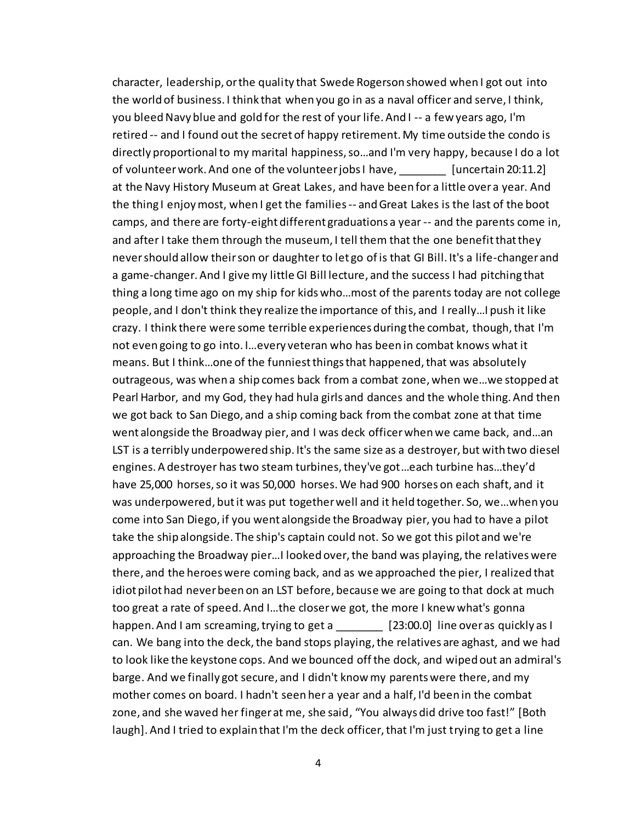character, leadership, or the quality that Swede Rogerson showed when I got out into the world of business. I think that when you go in as a naval officer and serve, I think, you bleed Navy blue and gold for the rest of your life. And I -- a few years ago, I'm retired -- and I found out the secret of happy retirement. My time outside the condo is directly proportional to my marital happiness, so…and I'm very happy, because I do a lot of volunteer work. And one of the volunteer jobs I have, [uncertain 20:11.2] at the Navy History Museum at Great Lakes, and have been for a little over a year. And the thing I enjoy most, when I get the families -- and Great Lakes is the last of the boot camps, and there are forty-eight different graduations a year -- and the parents come in, and after I take them through the museum, I tell them that the one benefit that they nevershould allow their son or daughter to let go of is that GI Bill. It's a life-changer and a game-changer. And I give my little GI Bill lecture, and the success I had pitching that thing a long time ago on my ship for kids who…most of the parents today are not college people, and I don't think they realize the importance of this, and I really…I push it like crazy. I think there were some terrible experiences during the combat, though, that I'm not even going to go into. I…every veteran who has been in combat knows what it means. But I think…one of the funniest things that happened, that was absolutely outrageous, was when a ship comes back from a combat zone, when we…we stopped at Pearl Harbor, and my God, they had hula girls and dances and the whole thing. And then we got back to San Diego, and a ship coming back from the combat zone at that time went alongside the Broadway pier, and I was deck officer when we came back, and…an LST is a terribly underpowered ship. It's the same size as a destroyer, but with two diesel engines. A destroyer has two steam turbines, they've got…each turbine has…they'd have 25,000 horses, so it was 50,000 horses. We had 900 horses on each shaft, and it was underpowered, but it was put together well and it held together. So, we…when you come into San Diego, if you went alongside the Broadway pier, you had to have a pilot take the ship alongside. The ship's captain could not. So we got this pilot and we're approaching the Broadway pier…I looked over, the band was playing, the relatives were there, and the heroes were coming back, and as we approached the pier, I realized that idiot pilot had never been on an LST before, because we are going to that dock at much too great a rate of speed. And I…the closer we got, the more I knew what's gonna happen. And I am screaming, trying to get a [23:00.0] line over as quickly as I can. We bang into the deck, the band stops playing, the relatives are aghast, and we had to look like the keystone cops. And we bounced off the dock, and wiped out an admiral's barge. And we finally got secure, and I didn't know my parents were there, and my mother comes on board. I hadn't seen her a year and a half, I'd been in the combat zone, and she waved her finger at me, she said, "You always did drive too fast!" [Both laugh]. And I tried to explain that I'm the deck officer, that I'm just trying to get a line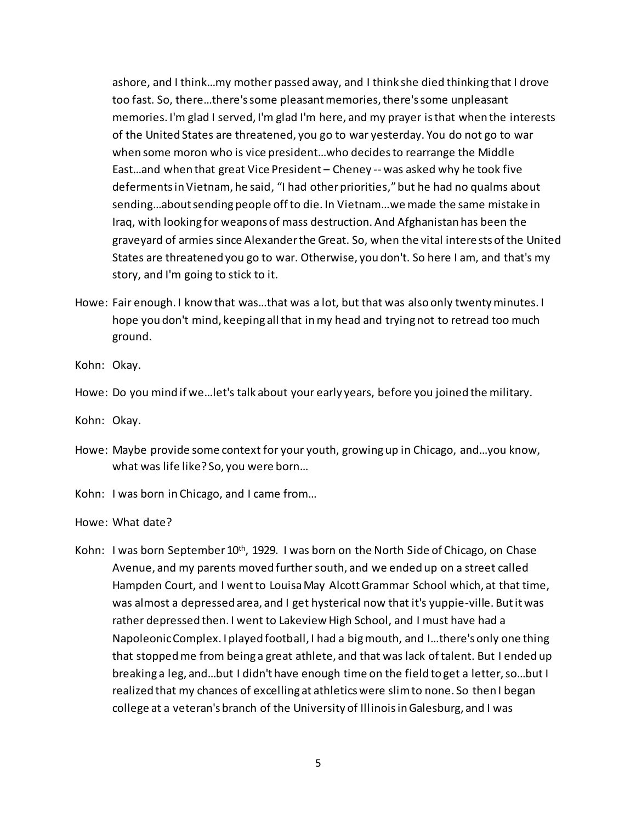ashore, and I think…my mother passed away, and I think she died thinking that I drove too fast. So, there…there's some pleasant memories, there's some unpleasant memories. I'm glad I served, I'm glad I'm here, and my prayer is that when the interests of the United States are threatened, you go to war yesterday. You do not go to war when some moron who is vice president…who decides to rearrange the Middle East…and when that great Vice President – Cheney -- was asked why he took five deferments in Vietnam, he said, "I had other priorities,"but he had no qualms about sending…about sending people off to die. In Vietnam…we made the same mistake in Iraq, with looking for weapons of mass destruction. And Afghanistan has been the graveyard of armies since Alexander the Great. So, when the vital interests of the United States are threatened you go to war. Otherwise, you don't. So here I am, and that's my story, and I'm going to stick to it.

Howe: Fair enough. I know that was…that was a lot, but that was also only twenty minutes. I hope you don't mind, keeping all that in my head and trying not to retread too much ground.

Kohn: Okay.

Howe: Do you mind if we…let's talk about your early years, before you joined the military.

Kohn: Okay.

Howe: Maybe provide some context for your youth, growing up in Chicago, and…you know, what was life like? So, you were born…

Kohn: I was born in Chicago, and I came from…

Howe: What date?

Kohn: I was born September 10<sup>th</sup>, 1929. I was born on the North Side of Chicago, on Chase Avenue, and my parents moved further south, and we ended up on a street called Hampden Court, and I went to Louisa May Alcott Grammar School which, at that time, was almost a depressed area, and I get hysterical now that it's yuppie-ville. Butit was rather depressed then. I went to Lakeview High School, and I must have had a Napoleonic Complex. I played football, I had a big mouth, and I…there's only one thing that stopped me from being a great athlete, and that was lack of talent. But I ended up breaking a leg, and…but I didn't have enough time on the field to get a letter, so…but I realized that my chances of excelling at athletics were slim to none. So then I began college at a veteran's branch of the University of Illinois in Galesburg, and I was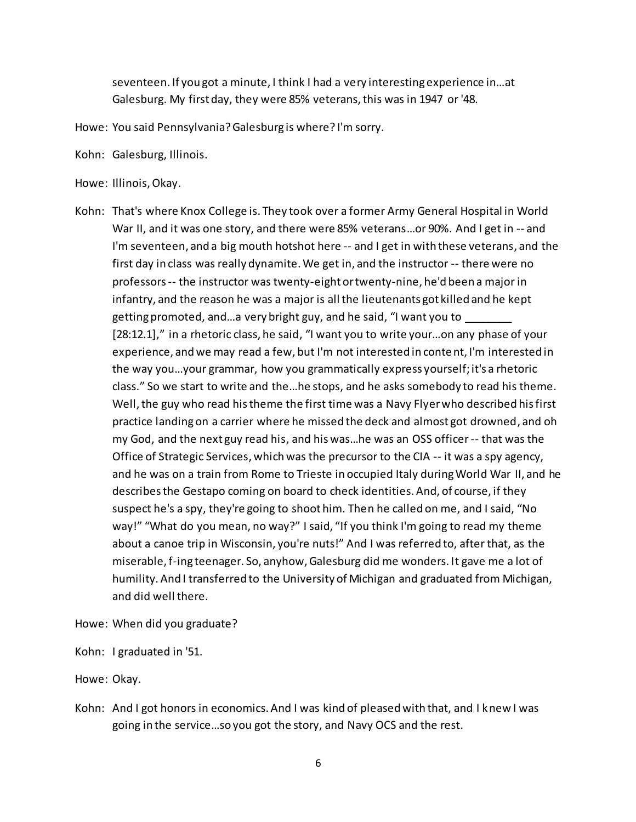seventeen. If you got a minute, I think I had a very interesting experience in…at Galesburg. My first day, they were 85% veterans, this was in 1947 or '48.

- Howe: You said Pennsylvania? Galesburg is where? I'm sorry.
- Kohn: Galesburg, Illinois.
- Howe: Illinois, Okay.
- Kohn: That's where Knox College is. They took over a former Army General Hospital in World War II, and it was one story, and there were 85% veterans…or 90%. And I get in -- and I'm seventeen, and a big mouth hotshot here -- and I get in with these veterans, and the first day in class was really dynamite. We get in, and the instructor -- there were no professors -- the instructor was twenty-eight or twenty-nine, he'd been a major in infantry, and the reason he was a major is all the lieutenants got killed and he kept getting promoted, and...a very bright guy, and he said, "I want you to [28:12.1]," in a rhetoric class, he said, "I want you to write your…on any phase of your experience, and we may read a few, but I'm not interested in content, I'm interested in the way you…your grammar, how you grammatically express yourself; it's a rhetoric class." So we start to write and the…he stops, and he asks somebody to read his theme. Well, the guy who read his theme the first time was a Navy Flyer who described his first practice landing on a carrier where he missed the deck and almost got drowned, and oh my God, and the next guy read his, and his was…he was an OSS officer -- that was the Office of Strategic Services, which was the precursor to the CIA -- it was a spy agency, and he was on a train from Rome to Trieste in occupied Italy during World War II, and he describes the Gestapo coming on board to check identities. And, of course, if they suspect he's a spy, they're going to shoot him. Then he called on me, and I said, "No way!" "What do you mean, no way?" I said, "If you think I'm going to read my theme about a canoe trip in Wisconsin, you're nuts!" And I was referred to, after that, as the miserable, f-ing teenager. So, anyhow, Galesburg did me wonders. It gave me a lot of humility. And I transferred to the University of Michigan and graduated from Michigan, and did well there.
- Howe: When did you graduate?
- Kohn: I graduated in '51.
- Howe: Okay.
- Kohn: And I got honors in economics. And I was kind of pleased with that, and I knew I was going in the service…so you got the story, and Navy OCS and the rest.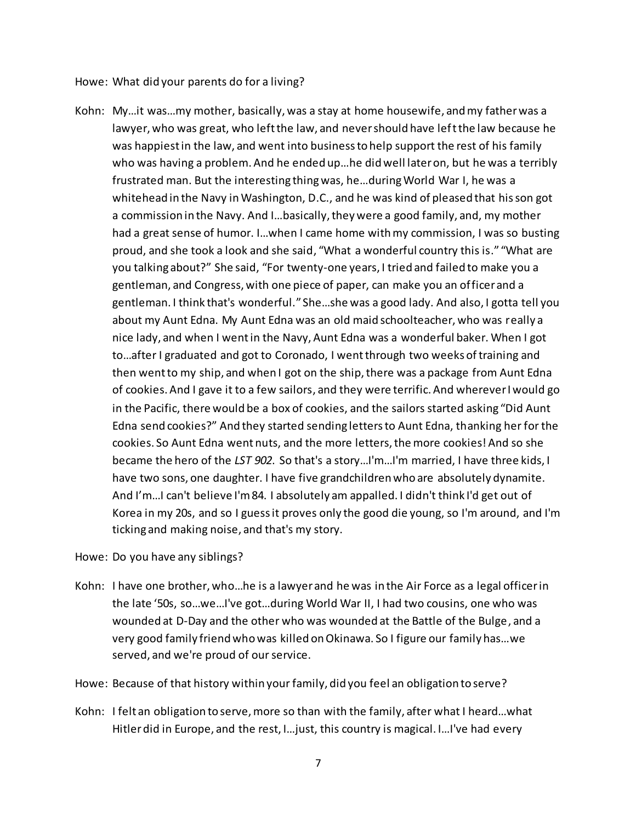Howe: What did your parents do for a living?

- Kohn: My…it was…my mother, basically, was a stay at home housewife, and my father was a lawyer, who was great, who left the law, and never should have left the law because he was happiest in the law, and went into business to help support the rest of his family who was having a problem. And he ended up…he did well later on, but he was a terribly frustrated man. But the interesting thing was, he…during World War I, he was a whitehead in the Navy in Washington, D.C., and he was kind of pleased that his son got a commission in the Navy. And I…basically, they were a good family, and, my mother had a great sense of humor. I…when I came home with my commission, I was so busting proud, and she took a look and she said, "What a wonderful country this is." "What are you talking about?" She said, "For twenty-one years, I tried and failed to make you a gentleman, and Congress, with one piece of paper, can make you an officer and a gentleman. I think that's wonderful." She…she was a good lady. And also, I gotta tell you about my Aunt Edna. My Aunt Edna was an old maid schoolteacher, who was really a nice lady, and when I went in the Navy, Aunt Edna was a wonderful baker. When I got to…after I graduated and got to Coronado, I went through two weeks of training and then went to my ship, and when I got on the ship, there was a package from Aunt Edna of cookies. And I gave it to a few sailors, and they were terrific. And wherever I would go in the Pacific, there would be a box of cookies, and the sailors started asking "Did Aunt Edna send cookies?" And they started sending letters to Aunt Edna, thanking her for the cookies. So Aunt Edna went nuts, and the more letters, the more cookies! And so she became the hero of the *LST 902*. So that's a story…I'm…I'm married, I have three kids, I have two sons, one daughter. I have five grandchildren who are absolutely dynamite. And I'm…I can't believe I'm 84. I absolutely am appalled. I didn't think I'd get out of Korea in my 20s, and so I guess it proves only the good die young, so I'm around, and I'm ticking and making noise, and that's my story.
- Howe: Do you have any siblings?
- Kohn: I have one brother, who…he is a lawyer and he was in the Air Force as a legal officer in the late '50s, so…we…I've got…during World War II, I had two cousins, one who was wounded at D-Day and the other who was wounded at the Battle of the Bulge, and a very good family friend who was killed on Okinawa. So I figure our family has…we served, and we're proud of our service.
- Howe: Because of that history within your family, did you feel an obligation to serve?
- Kohn: I felt an obligation to serve, more so than with the family, after what I heard…what Hitler did in Europe, and the rest, I…just, this country is magical. I…I've had every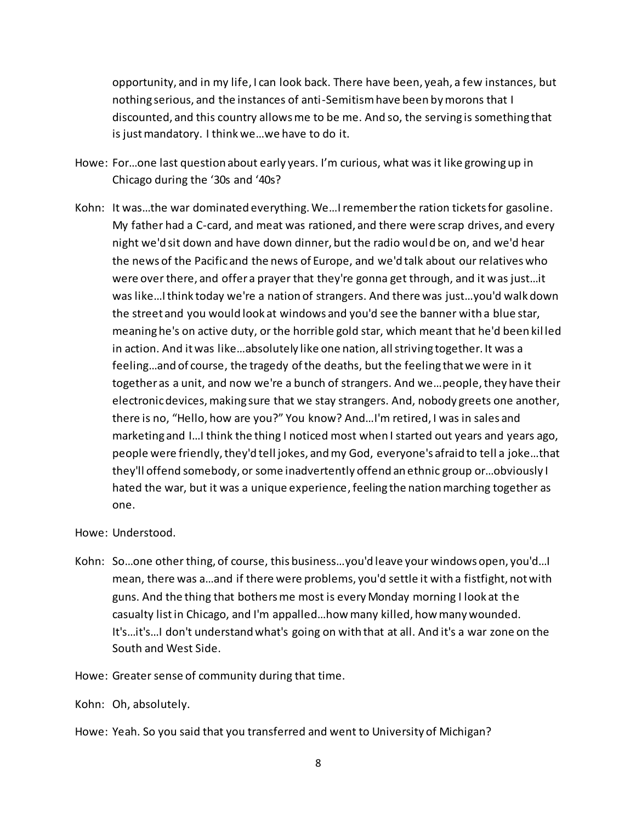opportunity, and in my life, I can look back. There have been, yeah, a few instances, but nothing serious, and the instances of anti-Semitism have been by morons that I discounted, and this country allows me to be me. And so, the serving is something that is just mandatory. I think we…we have to do it.

- Howe: For…one last question about early years. I'm curious, what was it like growing up in Chicago during the '30s and '40s?
- Kohn: It was…the war dominated everything. We…I remember the ration tickets for gasoline. My father had a C-card, and meat was rationed, and there were scrap drives, and every night we'd sit down and have down dinner, but the radio would be on, and we'd hear the news of the Pacific and the news of Europe, and we'd talk about our relatives who were over there, and offer a prayer that they're gonna get through, and it was just…it was like…I think today we're a nation of strangers. And there was just…you'd walk down the street and you would look at windows and you'd see the banner with a blue star, meaning he's on active duty, or the horrible gold star, which meant that he'd been kil led in action. And it was like…absolutely like one nation, all striving together. It was a feeling…and of course, the tragedy of the deaths, but the feeling that we were in it together as a unit, and now we're a bunch of strangers. And we…people, they have their electronic devices, making sure that we stay strangers. And, nobody greets one another, there is no, "Hello, how are you?" You know? And…I'm retired, I was in sales and marketing and I…I think the thing I noticed most when I started out years and years ago, people were friendly, they'd tell jokes, and my God, everyone's afraid to tell a joke…that they'll offend somebody, or some inadvertently offend an ethnic group or…obviously I hated the war, but it was a unique experience, feeling the nation marching together as one.

## Howe: Understood.

- Kohn: So…one other thing, of course, this business…you'd leave your windows open, you'd…I mean, there was a…and if there were problems, you'd settle it with a fistfight, not with guns. And the thing that bothers me most is every Monday morning I look at the casualty listin Chicago, and I'm appalled…how many killed, how many wounded. It's…it's…I don't understand what's going on with that at all. And it's a war zone on the South and West Side.
- Howe: Greater sense of community during that time.

Kohn: Oh, absolutely.

Howe: Yeah. So you said that you transferred and went to University of Michigan?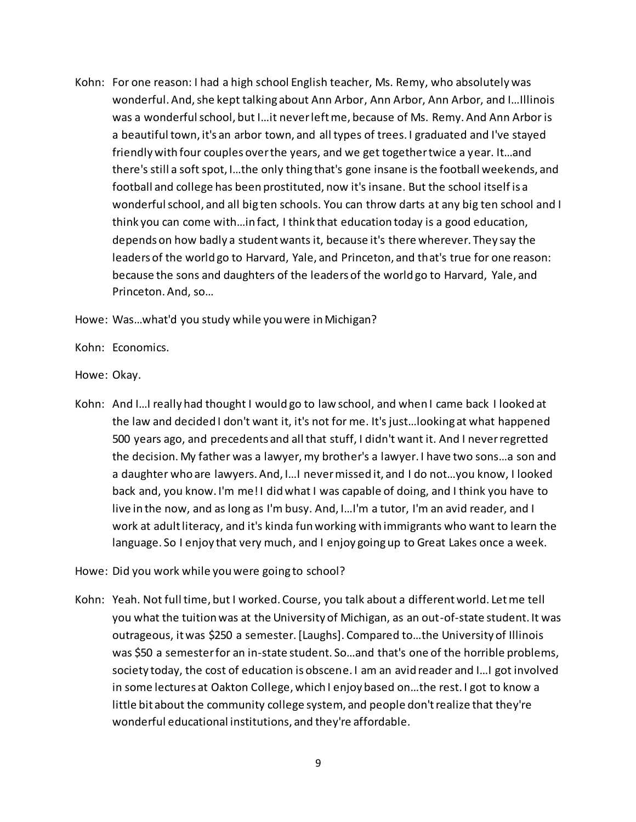Kohn: For one reason: I had a high school English teacher, Ms. Remy, who absolutely was wonderful. And, she kept talking about Ann Arbor, Ann Arbor, Ann Arbor, and I…Illinois was a wonderful school, but I…it never left me, because of Ms. Remy. And Ann Arbor is a beautiful town, it's an arbor town, and all types of trees. I graduated and I've stayed friendly with four couples over the years, and we get together twice a year. It…and there's still a soft spot, I…the only thing that's gone insane is the football weekends, and football and college has been prostituted, now it's insane. But the school itself is a wonderful school, and all big ten schools. You can throw darts at any big ten school and I think you can come with…in fact, I think that education today is a good education, depends on how badly a student wants it, because it's there wherever. They say the leaders of the world go to Harvard, Yale, and Princeton, and that's true for one reason: because the sons and daughters of the leaders of the world go to Harvard, Yale, and Princeton. And, so…

Howe: Was…what'd you study while you were in Michigan?

Kohn: Economics.

Howe: Okay.

- Kohn: And I…I really had thought I would go to law school, and when I came back I looked at the law and decided I don't want it, it's not for me. It's just…looking at what happened 500 years ago, and precedents and all that stuff, I didn't want it. And I never regretted the decision. My father was a lawyer, my brother's a lawyer. I have two sons…a son and a daughter who are lawyers. And, I…I never missed it, and I do not…you know, I looked back and, you know. I'm me! I did what I was capable of doing, and I think you have to live in the now, and as long as I'm busy. And, I…I'm a tutor, I'm an avid reader, and I work at adult literacy, and it's kinda fun working with immigrants who want to learn the language. So I enjoy that very much, and I enjoy going up to Great Lakes once a week.
- Howe: Did you work while you were going to school?
- Kohn: Yeah. Not full time, but I worked. Course, you talk about a different world. Let me tell you what the tuition was at the University of Michigan, as an out-of-state student. It was outrageous, it was \$250 a semester. [Laughs]. Compared to…the University of Illinois was \$50 a semester for an in-state student. So…and that's one of the horrible problems, society today, the cost of education is obscene. I am an avid reader and I…I got involved in some lectures at Oakton College, which I enjoy based on…the rest. I got to know a little bit about the community college system, and people don't realize that they're wonderful educational institutions, and they're affordable.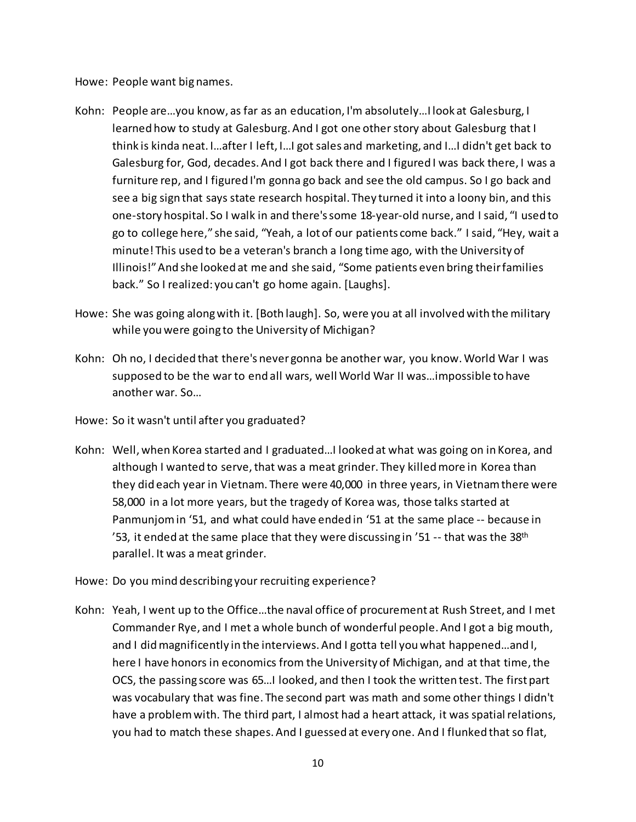Howe: People want big names.

- Kohn: People are…you know, as far as an education, I'm absolutely…I look at Galesburg, I learned how to study at Galesburg. And I got one other story about Galesburg that I think is kinda neat. I…after I left, I…I got sales and marketing, and I…I didn't get back to Galesburg for, God, decades. And I got back there and I figured I was back there, I was a furniture rep, and I figured I'm gonna go back and see the old campus. So I go back and see a big sign that says state research hospital. They turned it into a loony bin, and this one-story hospital. So I walk in and there's some 18-year-old nurse, and I said, "I used to go to college here," she said, "Yeah, a lot of our patients come back." I said, "Hey, wait a minute! This used to be a veteran's branch a long time ago, with the University of Illinois!" And she looked at me and she said, "Some patients even bring their families back." So I realized: you can't go home again. [Laughs].
- Howe: She was going along with it. [Both laugh]. So, were you at all involved with the military while you were going to the University of Michigan?
- Kohn: Oh no, I decided that there's never gonna be another war, you know. World War I was supposed to be the war to end all wars, well World War II was…impossible to have another war. So…
- Howe: So it wasn't until after you graduated?
- Kohn: Well, when Korea started and I graduated…I looked at what was going on in Korea, and although I wanted to serve, that was a meat grinder. They killed more in Korea than they did each year in Vietnam. There were 40,000 in three years, in Vietnam there were 58,000 in a lot more years, but the tragedy of Korea was, those talks started at Panmunjom in '51, and what could have ended in '51 at the same place -- because in '53, it ended at the same place that they were discussing in '51 -- that was the 38<sup>th</sup> parallel. It was a meat grinder.
- Howe: Do you mind describing your recruiting experience?
- Kohn: Yeah, I went up to the Office…the naval office of procurement at Rush Street, and I met Commander Rye, and I met a whole bunch of wonderful people. And I got a big mouth, and I did magnificently in the interviews. And I gotta tell you what happened…and I, here I have honors in economics from the University of Michigan, and at that time, the OCS, the passing score was 65…I looked, and then I took the written test. The first part was vocabulary that was fine. The second part was math and some other things I didn't have a problem with. The third part, I almost had a heart attack, it was spatial relations, you had to match these shapes. And I guessed at every one. And I flunked that so flat,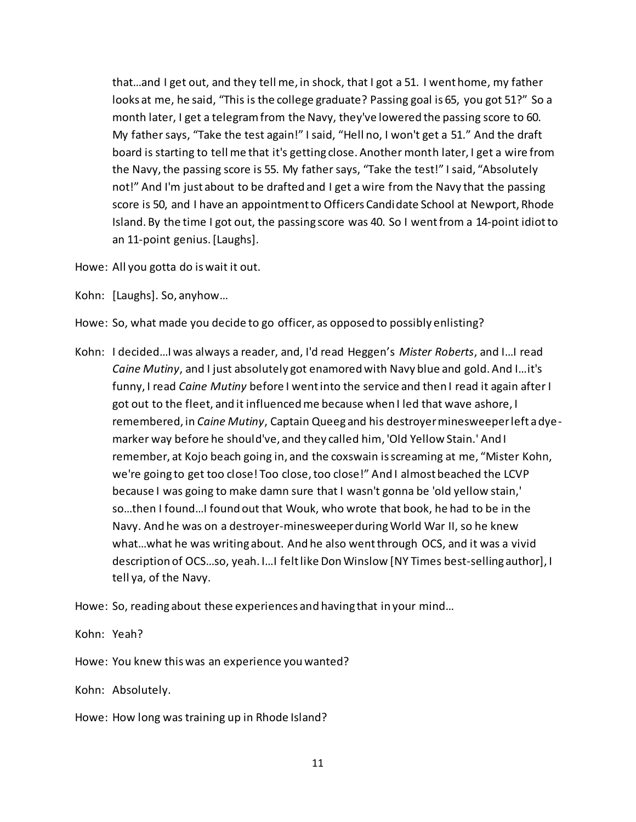that…and I get out, and they tell me, in shock, that I got a 51. I went home, my father looks at me, he said, "This is the college graduate? Passing goal is 65, you got 51?" So a month later, I get a telegram from the Navy, they've lowered the passing score to 60. My father says, "Take the test again!" I said, "Hell no, I won't get a 51." And the draft board is starting to tell me that it's getting close. Another month later, I get a wire from the Navy, the passing score is 55. My father says, "Take the test!" I said, "Absolutely not!" And I'm just about to be drafted and I get a wire from the Navy that the passing score is 50, and I have an appointment to Officers Candidate School at Newport, Rhode Island. By the time I got out, the passing score was 40. So I went from a 14-point idiotto an 11-point genius. [Laughs].

Howe: All you gotta do is wait it out.

Kohn: [Laughs]. So, anyhow…

Howe: So, what made you decide to go officer, as opposed to possibly enlisting?

Kohn: I decided…I was always a reader, and, I'd read Heggen's *Mister Roberts*, and I…I read *Caine Mutiny*, and I just absolutely got enamored with Navy blue and gold. And I…it's funny, I read *Caine Mutiny* before I went into the service and then I read it again after I got out to the fleet, and it influenced me because when I led that wave ashore, I remembered, in *Caine Mutiny*, Captain Queeg and his destroyer minesweeper left a dyemarker way before he should've, and they called him, 'Old Yellow Stain.' And I remember, at Kojo beach going in, and the coxswain is screaming at me, "Mister Kohn, we're going to get too close! Too close, too close!" And I almost beached the LCVP because I was going to make damn sure that I wasn't gonna be 'old yellow stain,' so…then I found…I found out that Wouk, who wrote that book, he had to be in the Navy. And he was on a destroyer-minesweeper during World War II, so he knew what…what he was writing about. And he also went through OCS, and it was a vivid description of OCS…so, yeah. I…I felt like Don Winslow [NY Times best-selling author], I tell ya, of the Navy.

Howe: So, reading about these experiences and having that in your mind…

Kohn: Yeah?

Howe: You knew this was an experience you wanted?

Kohn: Absolutely.

Howe: How long was training up in Rhode Island?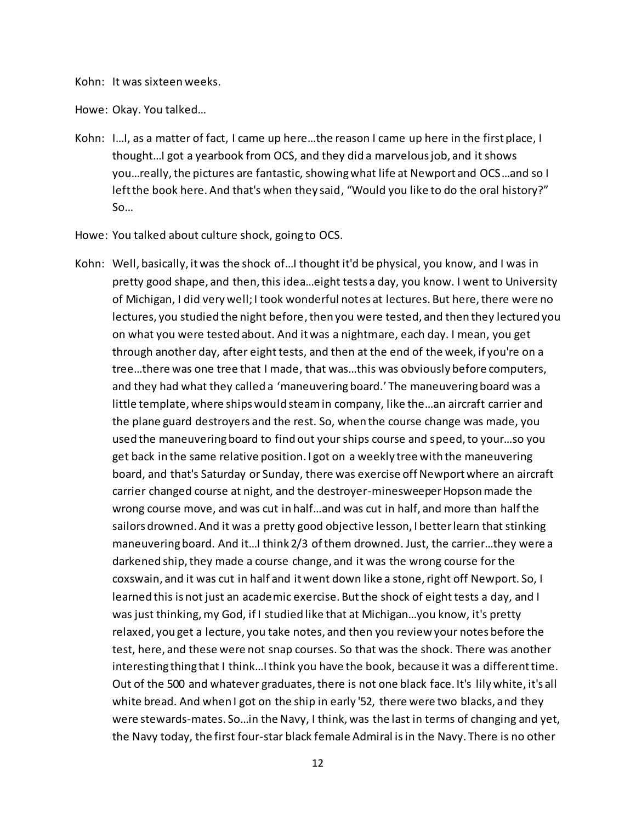Kohn: It was sixteen weeks.

Howe: Okay. You talked…

- Kohn: I…I, as a matter of fact, I came up here…the reason I came up here in the first place, I thought…I got a yearbook from OCS, and they did a marvelous job, and it shows you…really, the pictures are fantastic, showing what life at Newport and OCS…and so I left the book here. And that's when they said, "Would you like to do the oral history?" So…
- Howe: You talked about culture shock, going to OCS.
- Kohn: Well, basically, it was the shock of…I thought it'd be physical, you know, and I was in pretty good shape, and then, this idea…eight tests a day, you know. I went to University of Michigan, I did very well; I took wonderful notes at lectures. But here, there were no lectures, you studied the night before, then you were tested, and then they lectured you on what you were tested about. And it was a nightmare, each day. I mean, you get through another day, after eight tests, and then at the end of the week, if you're on a tree…there was one tree that I made, that was…this was obviously before computers, and they had what they called a 'maneuvering board.' The maneuvering board was a little template, where ships would steam in company, like the…an aircraft carrier and the plane guard destroyers and the rest. So, when the course change was made, you used the maneuvering board to find out your ships course and speed, to your…so you get back in the same relative position. I got on a weekly tree with the maneuvering board, and that's Saturday or Sunday, there was exercise off Newport where an aircraft carrier changed course at night, and the destroyer-minesweeper Hopson made the wrong course move, and was cut in half…and was cut in half, and more than half the sailors drowned. And it was a pretty good objective lesson, I better learn that stinking maneuvering board. And it…I think 2/3 of them drowned. Just, the carrier…they were a darkened ship, they made a course change, and it was the wrong course for the coxswain, and it was cut in half and it went down like a stone, right off Newport. So, I learned this is not just an academic exercise. But the shock of eight tests a day, and I was just thinking, my God, if I studied like that at Michigan…you know, it's pretty relaxed, you get a lecture, you take notes, and then you review your notes before the test, here, and these were not snap courses. So that was the shock. There was another interesting thing that I think…I think you have the book, because it was a different time. Out of the 500 and whatever graduates, there is not one black face. It's lily white, it's all white bread. And when I got on the ship in early '52, there were two blacks, and they were stewards-mates. So…in the Navy, I think, was the last in terms of changing and yet, the Navy today, the first four-star black female Admiral is in the Navy. There is no other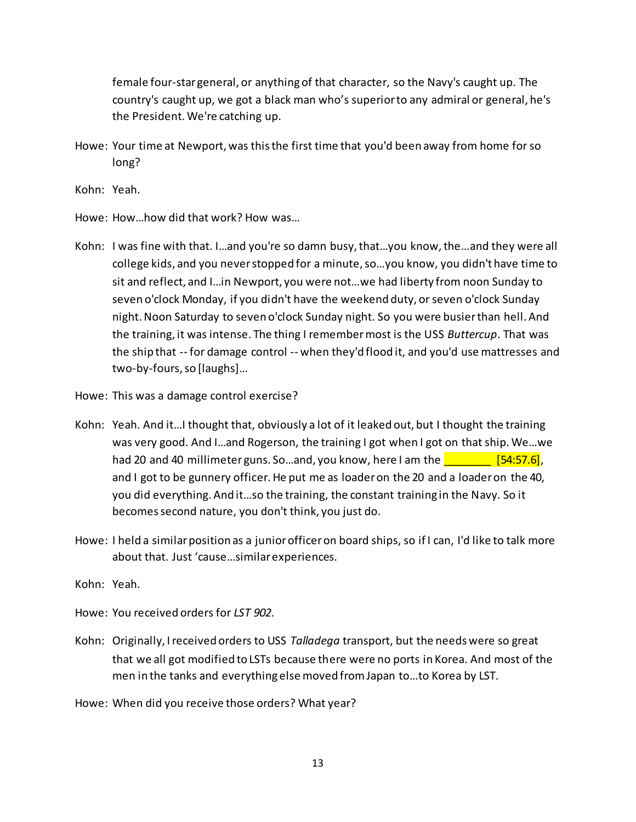female four-star general, or anything of that character, so the Navy's caught up. The country's caught up, we got a black man who's superior to any admiral or general, he's the President. We're catching up.

Howe: Your time at Newport, was this the first time that you'd been away from home for so long?

Kohn: Yeah.

- Howe: How…how did that work? How was…
- Kohn: I was fine with that. I…and you're so damn busy, that…you know, the…and they were all college kids, and you never stopped for a minute, so…you know, you didn't have time to sit and reflect, and I…in Newport, you were not…we had liberty from noon Sunday to seven o'clock Monday, if you didn't have the weekend duty, or seven o'clock Sunday night. Noon Saturday to seven o'clock Sunday night. So you were busier than hell. And the training, it was intense. The thing I remember most is the USS *Buttercup*. That was the ship that -- for damage control -- when they'd flood it, and you'd use mattresses and two-by-fours, so [laughs]…
- Howe: This was a damage control exercise?
- Kohn: Yeah. And it…I thought that, obviously a lot of it leaked out, but I thought the training was very good. And I…and Rogerson, the training I got when I got on that ship. We…we had 20 and 40 millimeter guns. So...and, you know, here I am the  $\frac{1}{154.57.6}$ , and I got to be gunnery officer. He put me as loader on the 20 and a loader on the 40, you did everything. And it…so the training, the constant training in the Navy. So it becomes second nature, you don't think, you just do.
- Howe: I held a similar position as a junior officer on board ships, so if I can, I'd like to talk more about that. Just 'cause…similar experiences.

Kohn: Yeah.

Howe: You received orders for *LST 902*.

Kohn: Originally, I received orders to USS *Talladega* transport, but the needs were so great that we all got modified to LSTs because there were no ports in Korea. And most of the men in the tanks and everything else moved from Japan to…to Korea by LST.

Howe: When did you receive those orders? What year?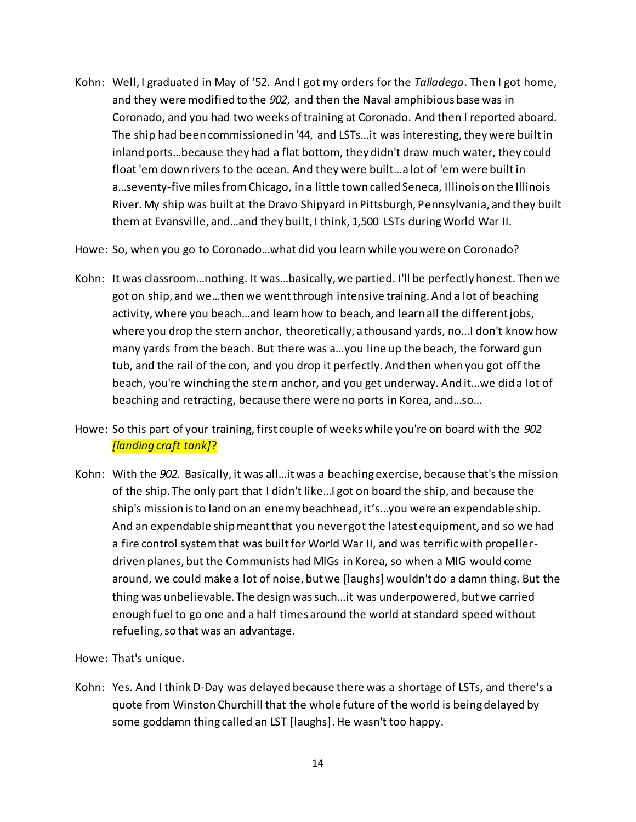Kohn: Well, I graduated in May of '52. And I got my orders for the *Talladega*. Then I got home, and they were modified to the *902*, and then the Naval amphibious base was in Coronado, and you had two weeks of training at Coronado. And then I reported aboard. The ship had been commissioned in '44, and LSTs…it was interesting, they were built in inland ports…because they had a flat bottom, they didn't draw much water, they could float 'em down rivers to the ocean. And they were built…a lot of 'em were built in a…seventy-five miles from Chicago, in a little town called Seneca, Illinois on the Illinois River. My ship was built at the Dravo Shipyard in Pittsburgh, Pennsylvania, and they built them at Evansville, and…and they built, I think, 1,500 LSTs during World War II.

Howe: So, when you go to Coronado…what did you learn while you were on Coronado?

- Kohn: It was classroom…nothing. It was…basically, we partied. I'll be perfectly honest. Then we got on ship, and we…then we went through intensive training. And a lot of beaching activity, where you beach…and learn how to beach, and learn all the different jobs, where you drop the stern anchor, theoretically, a thousand yards, no…I don't know how many yards from the beach. But there was a…you line up the beach, the forward gun tub, and the rail of the con, and you drop it perfectly. And then when you got off the beach, you're winching the stern anchor, and you get underway. And it…we did a lot of beaching and retracting, because there were no ports in Korea, and…so…
- Howe: So this part of your training, first couple of weeks while you're on board with the *902 [landing craft tank]*?
- Kohn: With the *902*. Basically, it was all…it was a beaching exercise, because that's the mission of the ship. The only part that I didn't like…I got on board the ship, and because the ship's mission is to land on an enemy beachhead, it's…you were an expendable ship. And an expendable ship meant that you never got the latest equipment, and so we had a fire control system that was built for World War II, and was terrific with propellerdriven planes, but the Communists had MIGs in Korea, so when a MIG would come around, we could make a lot of noise, but we [laughs] wouldn't do a damn thing. But the thing was unbelievable. The design was such…it was underpowered, butwe carried enough fuel to go one and a half times around the world at standard speed without refueling, so that was an advantage.

Howe: That's unique.

Kohn: Yes. And I think D-Day was delayed because there was a shortage of LSTs, and there's a quote from Winston Churchill that the whole future of the world is being delayed by some goddamn thing called an LST [laughs]. He wasn't too happy.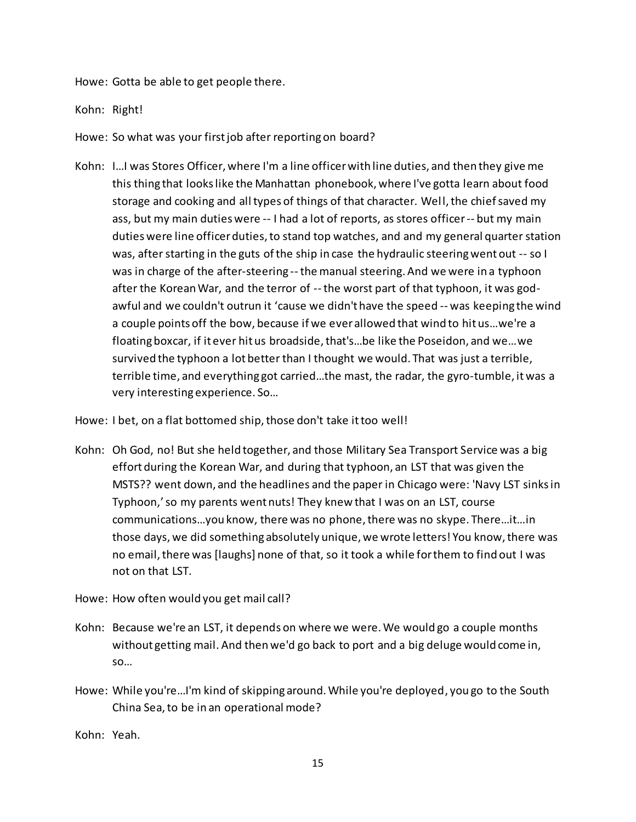Howe: Gotta be able to get people there.

Kohn: Right!

Howe: So what was your first job after reporting on board?

Kohn: I…I was Stores Officer, where I'm a line officer with line duties, and then they give me this thing that looks like the Manhattan phonebook, where I've gotta learn about food storage and cooking and all types of things of that character. Well, the chief saved my ass, but my main duties were -- I had a lot of reports, as stores officer -- but my main duties were line officer duties, to stand top watches, and and my general quarter station was, after starting in the guts of the ship in case the hydraulic steering went out -- so I was in charge of the after-steering --the manual steering. And we were in a typhoon after the Korean War, and the terror of --the worst part of that typhoon, it was godawful and we couldn't outrun it 'cause we didn't have the speed -- was keeping the wind a couple points off the bow, because if we ever allowed that wind to hit us…we're a floating boxcar, if it ever hit us broadside, that's…be like the Poseidon, and we…we survived the typhoon a lot better than I thought we would. That was just a terrible, terrible time, and everything got carried…the mast, the radar, the gyro-tumble, it was a very interesting experience. So…

Howe: I bet, on a flat bottomed ship, those don't take it too well!

Kohn: Oh God, no! But she held together, and those Military Sea Transport Service was a big effort during the Korean War, and during that typhoon, an LST that was given the MSTS?? went down, and the headlines and the paper in Chicago were: 'Navy LST sinks in Typhoon,'so my parents went nuts! They knew that I was on an LST, course communications…you know, there was no phone, there was no skype. There…it…in those days, we did something absolutely unique, we wrote letters! You know, there was no email, there was [laughs] none of that, so it took a while for them to find out I was not on that LST.

Howe: How often would you get mail call?

- Kohn: Because we're an LST, it depends on where we were. We would go a couple months without getting mail. And then we'd go back to port and a big deluge would come in, so…
- Howe: While you're…I'm kind of skipping around. While you're deployed, you go to the South China Sea, to be in an operational mode?

Kohn: Yeah.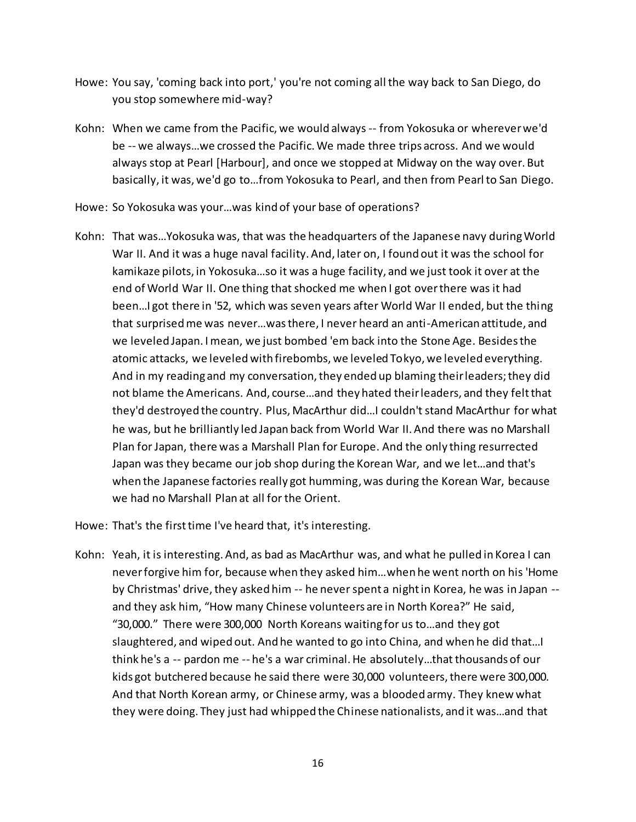- Howe: You say, 'coming back into port,' you're not coming all the way back to San Diego, do you stop somewhere mid-way?
- Kohn: When we came from the Pacific, we would always -- from Yokosuka or wherever we'd be -- we always…we crossed the Pacific. We made three trips across. And we would always stop at Pearl [Harbour], and once we stopped at Midway on the way over. But basically, it was, we'd go to…from Yokosuka to Pearl, and then from Pearl to San Diego.
- Howe: So Yokosuka was your…was kind of your base of operations?
- Kohn: That was…Yokosuka was, that was the headquarters of the Japanese navy during World War II. And it was a huge naval facility. And, later on, I found out it was the school for kamikaze pilots, in Yokosuka…so it was a huge facility, and we just took it over at the end of World War II. One thing that shocked me when I got over there was it had been…I got there in '52, which was seven years after World War II ended, but the thing that surprised me was never…was there, I never heard an anti-American attitude, and we leveled Japan. I mean, we just bombed 'em back into the Stone Age. Besides the atomic attacks, we leveled with firebombs, we leveled Tokyo, we leveled everything. And in my reading and my conversation, they ended up blaming their leaders; they did not blame the Americans. And, course…and they hated their leaders, and they felt that they'd destroyed the country. Plus, MacArthur did…I couldn't stand MacArthur for what he was, but he brilliantly led Japan back from World War II. And there was no Marshall Plan for Japan, there was a Marshall Plan for Europe. And the only thing resurrected Japan was they became our job shop during the Korean War, and we let…and that's when the Japanese factories really got humming, was during the Korean War, because we had no Marshall Plan at all for the Orient.

Howe: That's the first time I've heard that, it's interesting.

Kohn: Yeah, it is interesting. And, as bad as MacArthur was, and what he pulled in Korea I can never forgive him for, because when they asked him…when he went north on his 'Home by Christmas' drive, they asked him -- he never spent a night in Korea, he was in Japan - and they ask him, "How many Chinese volunteers are in North Korea?" He said, "30,000." There were 300,000 North Koreans waiting for us to…and they got slaughtered, and wiped out. And he wanted to go into China, and when he did that…I think he's a -- pardon me -- he's a war criminal. He absolutely...that thousands of our kids got butchered because he said there were 30,000 volunteers, there were 300,000. And that North Korean army, or Chinese army, was a blooded army. They knew what they were doing. They just had whipped the Chinese nationalists, and it was…and that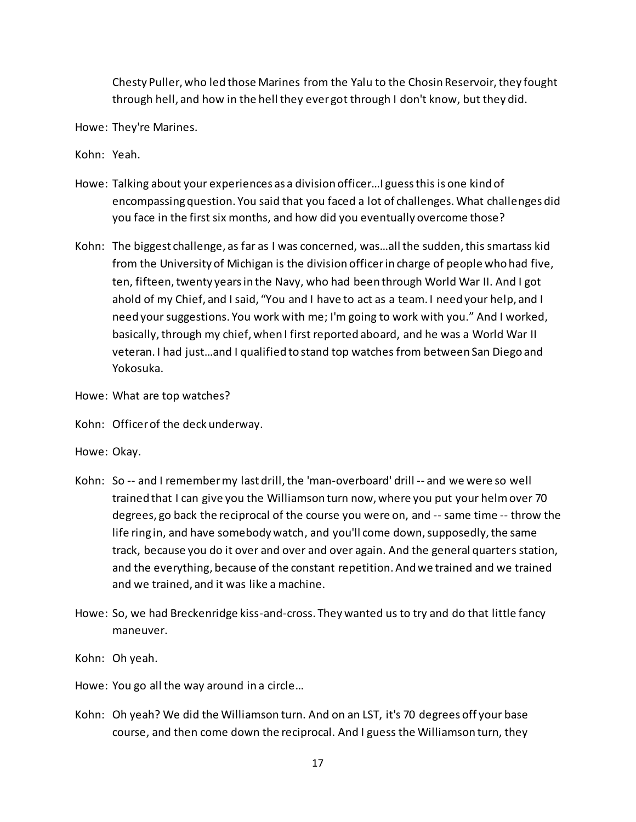Chesty Puller, who led those Marines from the Yalu to the Chosin Reservoir, they fought through hell, and how in the hell they ever got through I don't know, but they did.

Howe: They're Marines.

Kohn: Yeah.

- Howe: Talking about your experiences as a division officer…I guess this is one kind of encompassing question. You said that you faced a lot of challenges. What challenges did you face in the first six months, and how did you eventually overcome those?
- Kohn: The biggest challenge, as far as I was concerned, was…all the sudden, this smartass kid from the University of Michigan is the division officerin charge of people who had five, ten, fifteen, twenty years in the Navy, who had been through World War II. And I got ahold of my Chief, and I said, "You and I have to act as a team. I need your help, and I need your suggestions. You work with me; I'm going to work with you." And I worked, basically, through my chief, when I first reported aboard, and he was a World War II veteran. I had just…and I qualified to stand top watches from between San Diego and Yokosuka.
- Howe: What are top watches?
- Kohn: Officer of the deck underway.
- Howe: Okay.
- Kohn: So -- and I remember my last drill, the 'man-overboard' drill -- and we were so well trained that I can give you the Williamson turn now, where you put your helm over 70 degrees, go back the reciprocal of the course you were on, and -- same time -- throw the life ring in, and have somebody watch, and you'll come down, supposedly, the same track, because you do it over and over and over again. And the general quarters station, and the everything, because of the constant repetition. And we trained and we trained and we trained, and it was like a machine.
- Howe: So, we had Breckenridge kiss-and-cross. They wanted us to try and do that little fancy maneuver.
- Kohn: Oh yeah.
- Howe: You go all the way around in a circle…
- Kohn: Oh yeah? We did the Williamson turn. And on an LST, it's 70 degrees off your base course, and then come down the reciprocal. And I guess the Williamson turn, they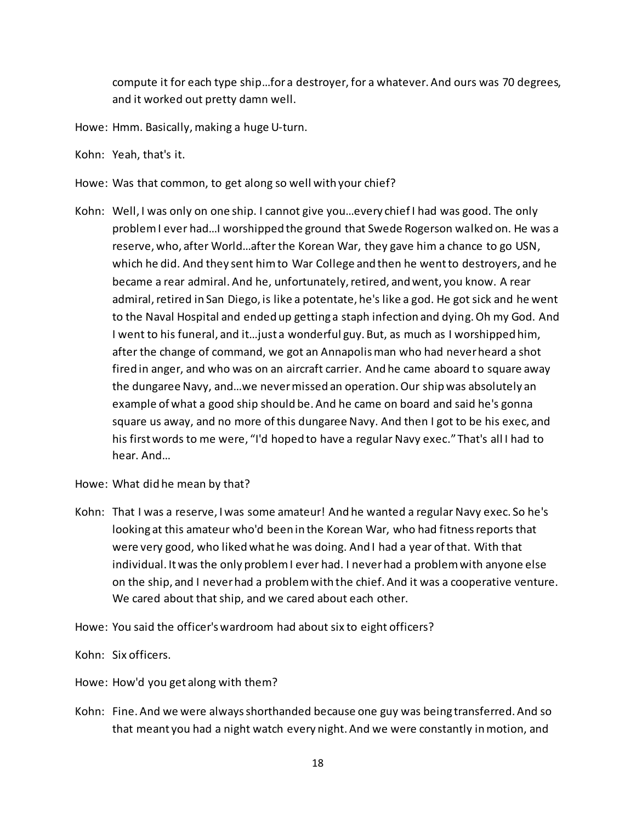compute it for each type ship…for a destroyer, for a whatever. And ours was 70 degrees, and it worked out pretty damn well.

- Howe: Hmm. Basically, making a huge U-turn.
- Kohn: Yeah, that's it.
- Howe: Was that common, to get along so well with your chief?
- Kohn: Well, I was only on one ship. I cannot give you…every chief I had was good. The only problem I ever had…I worshipped the ground that Swede Rogerson walked on. He was a reserve, who, after World…after the Korean War, they gave him a chance to go USN, which he did. And they sent him to War College and then he went to destroyers, and he became a rear admiral. And he, unfortunately, retired, and went, you know. A rear admiral, retired in San Diego, is like a potentate, he's like a god. He got sick and he went to the Naval Hospital and ended up getting a staph infection and dying. Oh my God. And I went to his funeral, and it…just a wonderful guy. But, as much as I worshipped him, after the change of command, we got an Annapolis man who had never heard a shot fired in anger, and who was on an aircraft carrier. And he came aboard to square away the dungaree Navy, and…we never missed an operation. Our ship was absolutely an example of what a good ship should be. And he came on board and said he's gonna square us away, and no more of this dungaree Navy. And then I got to be his exec, and his firstwords to me were, "I'd hoped to have a regular Navy exec."That's all I had to hear. And…
- Howe: What did he mean by that?
- Kohn: That I was a reserve, I was some amateur! And he wanted a regular Navy exec. So he's looking at this amateur who'd been in the Korean War, who had fitness reports that were very good, who liked what he was doing. And I had a year of that. With that individual. It was the only problem I ever had. I never had a problem with anyone else on the ship, and I never had a problem with the chief. And it was a cooperative venture. We cared about that ship, and we cared about each other.
- Howe: You said the officer's wardroom had about six to eight officers?
- Kohn: Six officers.
- Howe: How'd you get along with them?
- Kohn: Fine. And we were always shorthanded because one guy was being transferred. And so that meant you had a night watch every night. And we were constantly in motion, and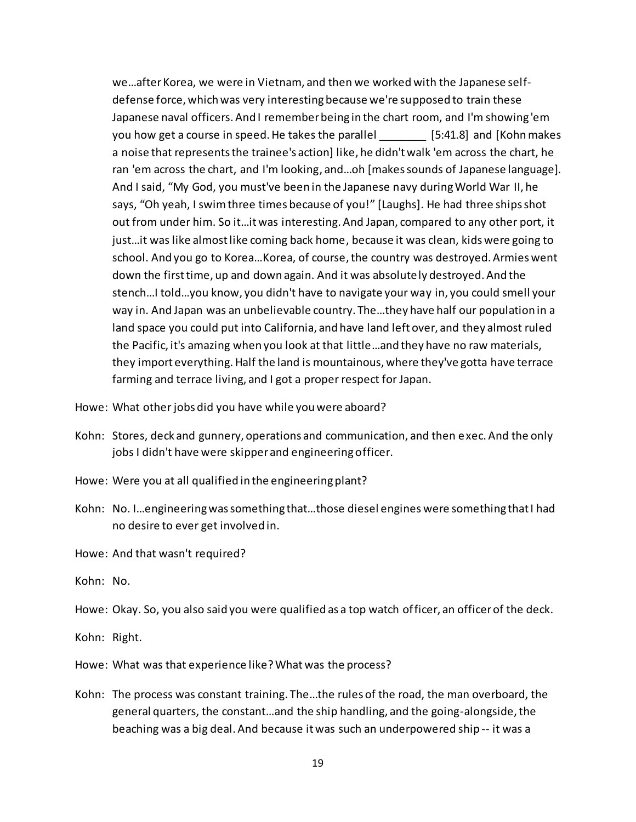we…after Korea, we were in Vietnam, and then we worked with the Japanese selfdefense force, which was very interesting because we're supposed to train these Japanese naval officers. And I remember being in the chart room, and I'm showing 'em you how get a course in speed. He takes the parallel [5:41.8] and [Kohn makes a noise that represents the trainee's action] like, he didn't walk 'em across the chart, he ran 'em across the chart, and I'm looking, and…oh [makes sounds of Japanese language]. And I said, "My God, you must've been in the Japanese navy during World War II, he says, "Oh yeah, I swim three times because of you!" [Laughs]. He had three ships shot out from under him. So it…it was interesting. And Japan, compared to any other port, it just…it was like almost like coming back home, because it was clean, kids were going to school. And you go to Korea…Korea, of course,the country was destroyed. Armies went down the first time, up and down again. And it was absolutely destroyed. And the stench…I told…you know, you didn't have to navigate your way in, you could smell your way in. And Japan was an unbelievable country. The…they have half our population in a land space you could put into California, and have land left over, and they almost ruled the Pacific, it's amazing when you look at that little…and they have no raw materials, they import everything. Half the land is mountainous, where they've gotta have terrace farming and terrace living, and I got a proper respect for Japan.

- Howe: What other jobs did you have while you were aboard?
- Kohn: Stores, deck and gunnery, operations and communication, and then exec. And the only jobs I didn't have were skipper and engineering officer.
- Howe: Were you at all qualified in the engineering plant?
- Kohn: No. I…engineering was something that…those diesel engines were something that I had no desire to ever get involved in.
- Howe: And that wasn't required?
- Kohn: No.
- Howe: Okay. So, you also said you were qualified as a top watch officer, an officer of the deck.
- Kohn: Right.
- Howe: What was that experience like? What was the process?
- Kohn: The process was constant training. The…the rules of the road, the man overboard, the general quarters, the constant…and the ship handling, and the going-alongside, the beaching was a big deal. And because it was such an underpowered ship -- it was a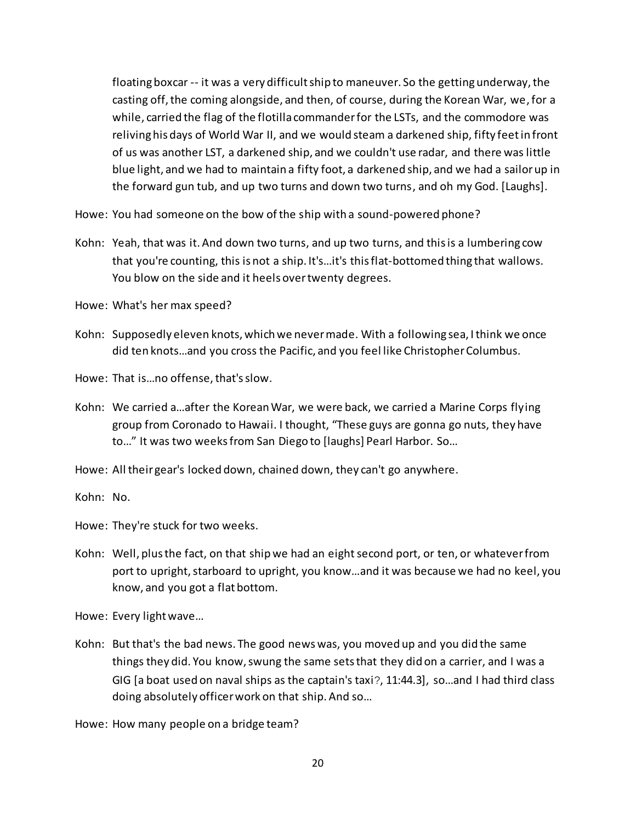floating boxcar -- it was a very difficult ship to maneuver. So the getting underway, the casting off, the coming alongside, and then, of course, during the Korean War, we,for a while, carried the flag of the flotilla commander for the LSTs, and the commodore was reliving his days of World War II, and we would steam a darkened ship, fifty feet in front of us was another LST, a darkened ship, and we couldn't use radar, and there was little blue light, and we had to maintain a fifty foot, a darkened ship, and we had a sailor up in the forward gun tub, and up two turns and down two turns, and oh my God. [Laughs].

Howe: You had someone on the bow of the ship with a sound-powered phone?

Kohn: Yeah, that was it. And down two turns, and up two turns, and this is a lumbering cow that you're counting, this is not a ship. It's…it's this flat-bottomed thing that wallows. You blow on the side and it heels over twenty degrees.

Howe: What's her max speed?

Kohn: Supposedly eleven knots, which we never made. With a following sea, I think we once did ten knots…and you cross the Pacific, and you feel like Christopher Columbus.

Howe: That is…no offense, that's slow.

- Kohn: We carried a…after the Korean War, we were back, we carried a Marine Corps flying group from Coronado to Hawaii. I thought, "These guys are gonna go nuts, they have to…" It was two weeks from San Diego to [laughs] Pearl Harbor. So…
- Howe: All their gear's locked down, chained down, they can't go anywhere.

Kohn: No.

Howe: They're stuck for two weeks.

Kohn: Well, plus the fact, on that ship we had an eight second port, or ten, or whatever from port to upright, starboard to upright, you know…and it was because we had no keel, you know, and you got a flat bottom.

Howe: Every light wave…

Kohn: But that's the bad news. The good news was, you moved up and you did the same things they did. You know, swung the same sets that they did on a carrier, and I was a GIG [a boat used on naval ships as the captain's taxi?, 11:44.3], so…and I had third class doing absolutely officer work on that ship. And so…

Howe: How many people on a bridge team?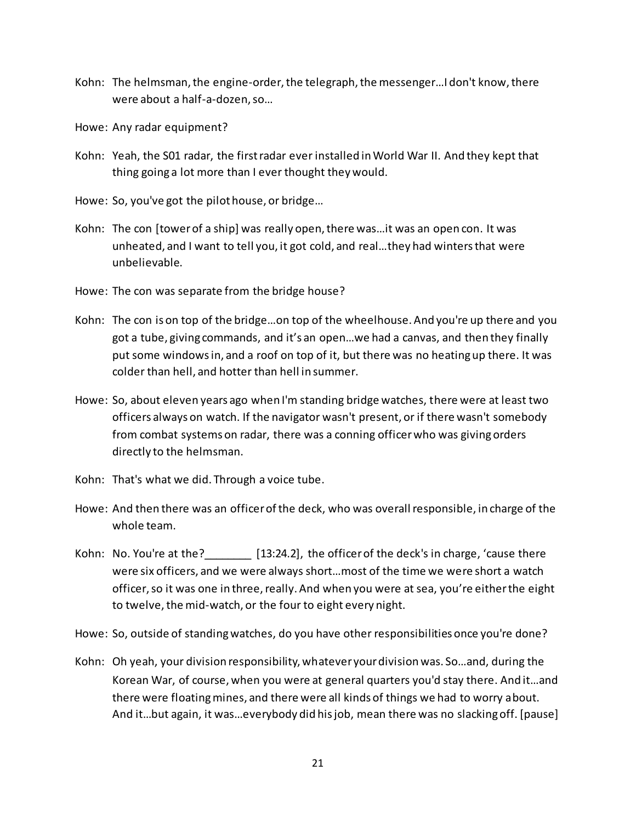- Kohn: The helmsman, the engine-order, the telegraph, the messenger…I don't know, there were about a half-a-dozen, so…
- Howe: Any radar equipment?
- Kohn: Yeah, the S01 radar, the first radar ever installed in World War II. And they kept that thing going a lot more than I ever thought they would.
- Howe: So, you've got the pilot house, or bridge…
- Kohn: The con [tower of a ship] was really open, there was…it was an open con. It was unheated, and I want to tell you, it got cold, and real…they had winters that were unbelievable.
- Howe: The con was separate from the bridge house?
- Kohn: The con is on top of the bridge…on top of the wheelhouse. And you're up there and you got a tube, giving commands, and it's an open…we had a canvas, and then they finally put some windows in, and a roof on top of it, but there was no heating up there. It was colder than hell, and hotter than hell in summer.
- Howe: So, about eleven years ago when I'm standing bridge watches, there were at least two officers always on watch. If the navigator wasn't present, or if there wasn't somebody from combat systems on radar, there was a conning officer who was giving orders directly to the helmsman.
- Kohn: That's what we did. Through a voice tube.
- Howe: And then there was an officer of the deck, who was overall responsible, in charge of the whole team.
- Kohn: No. You're at the? [13:24.2], the officer of the deck's in charge, 'cause there were six officers, and we were always short…most of the time we were short a watch officer, so it was one in three, really. And when you were at sea, you're either the eight to twelve, the mid-watch, or the four to eight every night.
- Howe: So, outside of standing watches, do you have other responsibilities once you're done?
- Kohn: Oh yeah, your division responsibility, whatever your division was. So…and, during the Korean War, of course, when you were at general quarters you'd stay there. And it…and there were floating mines, and there were all kinds of things we had to worry about. And it…but again, it was…everybody did his job, mean there was no slacking off. [pause]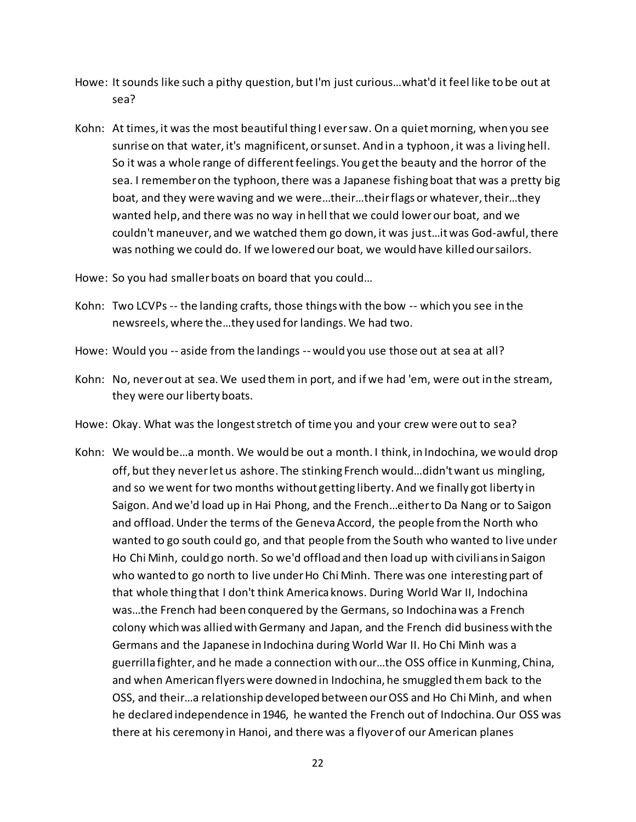- Howe: It sounds like such a pithy question, but I'm just curious…what'd it feel like to be out at sea?
- Kohn: At times, it was the most beautiful thing I ever saw. On a quiet morning, when you see sunrise on that water, it's magnificent, or sunset. And in a typhoon, it was a living hell. So it was a whole range of different feelings. You get the beauty and the horror of the sea. I remember on the typhoon, there was a Japanese fishing boat that was a pretty big boat, and they were waving and we were…their…their flags or whatever, their…they wanted help, and there was no way in hell that we could lower our boat, and we couldn't maneuver, and we watched them go down, it was just…it was God-awful, there was nothing we could do. If we lowered our boat, we would have killed our sailors.
- Howe: So you had smaller boats on board that you could…
- Kohn: Two LCVPs -- the landing crafts, those things with the bow -- which you see in the newsreels, where the…they used for landings. We had two.
- Howe: Would you -- aside from the landings -- would you use those out at sea at all?
- Kohn: No, never out at sea. We used them in port, and if we had 'em, were out in the stream, they were our liberty boats.
- Howe: Okay. What was the longest stretch of time you and your crew were out to sea?
- Kohn: We would be…a month. We would be out a month. I think, in Indochina, we would drop off, but they never let us ashore. The stinking French would…didn't want us mingling, and so we went for two months without getting liberty. And we finally got liberty in Saigon. And we'd load up in Hai Phong, and the French…either to Da Nang or to Saigon and offload. Under the terms of the Geneva Accord, the people from the North who wanted to go south could go, and that people from the South who wanted to live under Ho Chi Minh, could go north. So we'd offload and then load up with civilians in Saigon who wanted to go north to live under Ho Chi Minh. There was one interesting part of that whole thing that I don't think America knows. During World War II, Indochina was…the French had been conquered by the Germans, so Indochina was a French colony which was allied with Germany and Japan, and the French did business with the Germans and the Japanese in Indochina during World War II. Ho Chi Minh was a guerrilla fighter, and he made a connection with our…the OSS office in Kunming, China, and when American flyers were downed in Indochina, he smuggled them back to the OSS, and their…a relationship developed between our OSS and Ho Chi Minh, and when he declared independence in 1946, he wanted the French out of Indochina. Our OSS was there at his ceremony in Hanoi, and there was a flyover of our American planes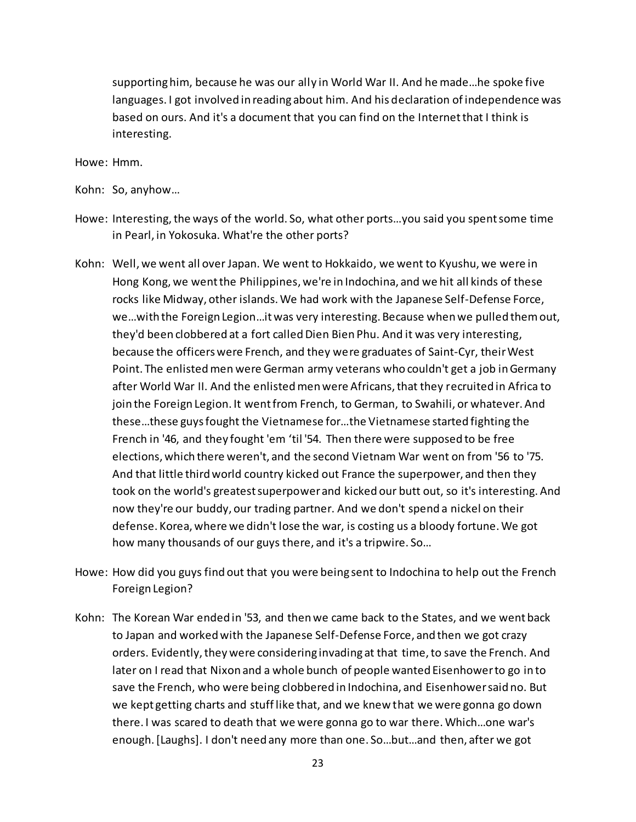supporting him, because he was our ally in World War II. And he made…he spoke five languages. I got involved in reading about him. And his declaration of independence was based on ours. And it's a document that you can find on the Internet that I think is interesting.

Howe: Hmm.

Kohn: So, anyhow…

- Howe: Interesting, the ways of the world. So, what other ports…you said you spent some time in Pearl, in Yokosuka. What're the other ports?
- Kohn: Well, we went all over Japan. We went to Hokkaido, we went to Kyushu, we were in Hong Kong, we went the Philippines, we're in Indochina, and we hit all kinds of these rocks like Midway, other islands. We had work with the Japanese Self-Defense Force, we…with the Foreign Legion…it was very interesting. Because when we pulled them out, they'd been clobbered at a fort called Dien Bien Phu. And it was very interesting, because the officers were French, and they were graduates of Saint-Cyr, their West Point. The enlisted men were German army veterans who couldn't get a job in Germany after World War II. And the enlisted men were Africans, that they recruited in Africa to join the Foreign Legion. It went from French, to German, to Swahili, or whatever. And these…these guys fought the Vietnamese for…the Vietnamese started fighting the French in '46, and they fought 'em 'til '54. Then there were supposed to be free elections, which there weren't, and the second Vietnam War went on from '56 to '75. And that little third world country kicked out France the superpower, and then they took on the world's greatest superpower and kicked our butt out, so it's interesting. And now they're our buddy, our trading partner. And we don't spend a nickel on their defense. Korea, where we didn't lose the war, is costing us a bloody fortune. We got how many thousands of our guys there, and it's a tripwire. So…
- Howe: How did you guys find out that you were being sent to Indochina to help out the French Foreign Legion?
- Kohn: The Korean War ended in '53, and then we came back to the States, and we went back to Japan and worked with the Japanese Self-Defense Force, and then we got crazy orders. Evidently, they were considering invading at that time, to save the French. And later on I read that Nixon and a whole bunch of people wanted Eisenhower to go in to save the French, who were being clobbered in Indochina, and Eisenhower said no. But we kept getting charts and stuff like that, and we knew that we were gonna go down there. I was scared to death that we were gonna go to war there. Which…one war's enough. [Laughs]. I don't need any more than one. So…but…and then, after we got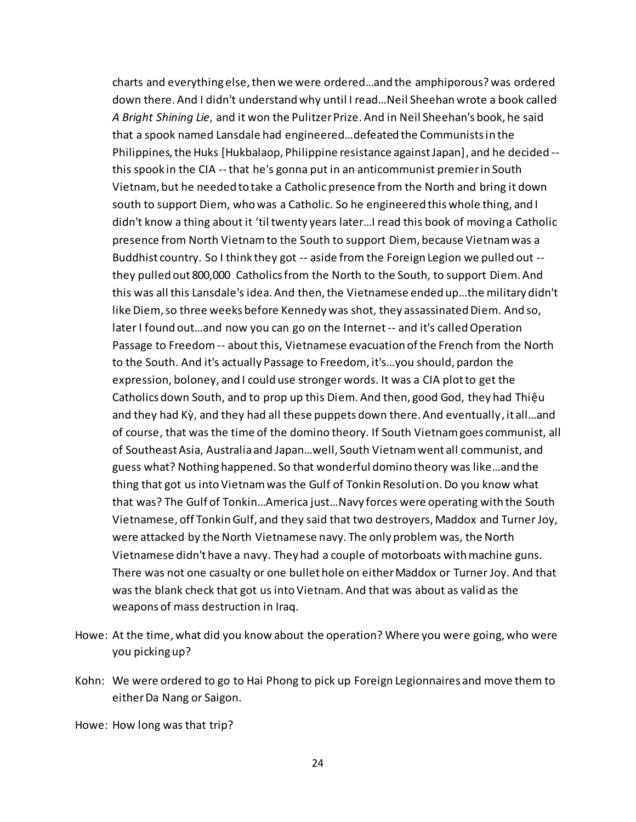charts and everything else, then we were ordered…and the amphiporous? was ordered down there. And I didn't understand why until I read…Neil Sheehan wrote a book called *A Bright Shining Lie*, and it won the Pulitzer Prize. And in Neil Sheehan's book, he said that a spook named Lansdale had engineered…defeated the Communists in the Philippines, the Huks [Hukbalaop, Philippine resistance against Japan], and he decided - this spook in the CIA --that he's gonna put in an anticommunist premier in South Vietnam, but he needed to take a Catholic presence from the North and bring it down south to support Diem, who was a Catholic. So he engineered this whole thing, and I didn't know a thing about it 'til twenty years later…I read this book of moving a Catholic presence from North Vietnam to the South to support Diem, because Vietnam was a Buddhist country. So I think they got -- aside from the Foreign Legion we pulled out - they pulled out 800,000 Catholics from the North to the South, to support Diem. And this was all this Lansdale's idea. And then, the Vietnamese ended up…the military didn't like Diem, so three weeks before Kennedy was shot, they assassinated Diem. And so, later I found out…and now you can go on the Internet -- and it's called Operation Passage to Freedom -- about this, Vietnamese evacuation of the French from the North to the South. And it's actually Passage to Freedom, it's…you should, pardon the expression, boloney, and I could use stronger words. It was a CIA plot to get the Catholics down South, and to prop up this Diem. And then, good God, they had Thiệu and they had Kỳ, and they had all these puppets down there. And eventually, it all…and of course, that was the time of the domino theory. If South Vietnam goes communist, all of Southeast Asia, Australia and Japan…well, South Vietnam went all communist, and guess what? Nothing happened. So that wonderful domino theory was like…and the thing that got us into Vietnam was the Gulf of Tonkin Resolution. Do you know what that was? The Gulf of Tonkin…America just…Navy forces were operating with the South Vietnamese, off Tonkin Gulf, and they said that two destroyers, Maddox and Turner Joy, were attacked by the North Vietnamese navy. The only problem was, the North Vietnamese didn't have a navy. They had a couple of motorboats with machine guns. There was not one casualty or one bullet hole on either Maddox or Turner Joy. And that was the blank check that got us into Vietnam. And that was about as valid as the weapons of mass destruction in Iraq.

- Howe: At the time, what did you know about the operation? Where you were going, who were you picking up?
- Kohn: We were ordered to go to Hai Phong to pick up Foreign Legionnaires and move them to either Da Nang or Saigon.

Howe: How long was that trip?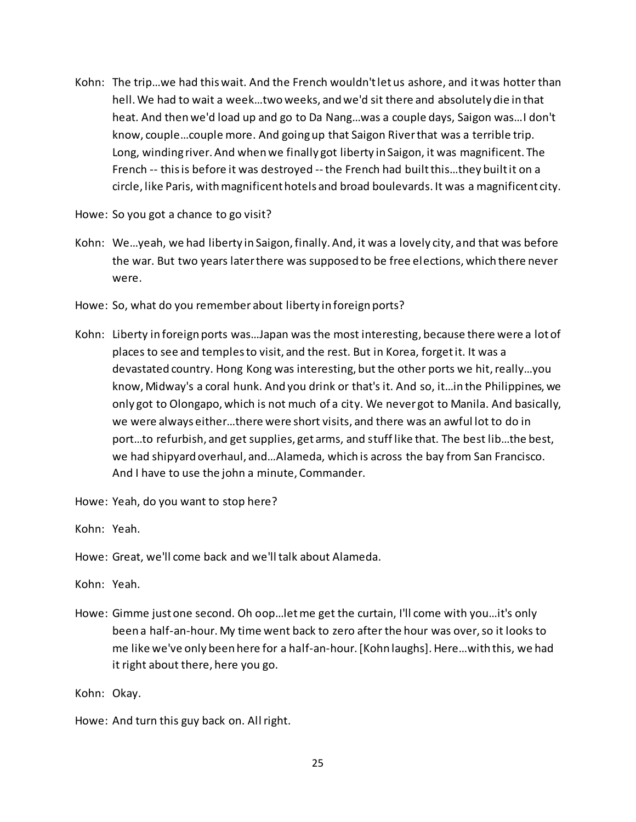Kohn: The trip…we had this wait. And the French wouldn't let us ashore, and it was hotter than hell. We had to wait a week…two weeks, and we'd sit there and absolutely die in that heat. And then we'd load up and go to Da Nang…was a couple days, Saigon was…I don't know, couple…couple more. And going up that Saigon Riverthat was a terrible trip. Long, winding river. And when we finally got liberty in Saigon, it was magnificent. The French -- this is before it was destroyed --the French had built this…they built it on a circle, like Paris, with magnificent hotels and broad boulevards. It was a magnificent city.

Howe: So you got a chance to go visit?

- Kohn: We…yeah, we had liberty in Saigon, finally. And, it was a lovely city, and that was before the war. But two years later there was supposed to be free elections, which there never were.
- Howe: So, what do you remember about liberty in foreign ports?
- Kohn: Liberty in foreign ports was…Japan was the most interesting, because there were a lot of places to see and temples to visit, and the rest. But in Korea, forget it. It was a devastated country. Hong Kong was interesting, but the other ports we hit,really…you know, Midway's a coral hunk. And you drink or that's it. And so, it…in the Philippines, we only got to Olongapo, which is not much of a city. We never got to Manila. And basically, we were always either…there were short visits, and there was an awful lot to do in port…to refurbish, and get supplies, get arms, and stuff like that. The best lib…the best, we had shipyard overhaul, and…Alameda, which is across the bay from San Francisco. And I have to use the john a minute, Commander.

Howe: Yeah, do you want to stop here?

Kohn: Yeah.

Howe: Great, we'll come back and we'll talk about Alameda.

Kohn: Yeah.

Howe: Gimme just one second. Oh oop…let me get the curtain, I'll come with you…it's only been a half-an-hour. My time went back to zero after the hour was over, so it looks to me like we've only been here for a half-an-hour. [Kohn laughs]. Here…with this, we had it right about there, here you go.

Kohn: Okay.

Howe: And turn this guy back on. All right.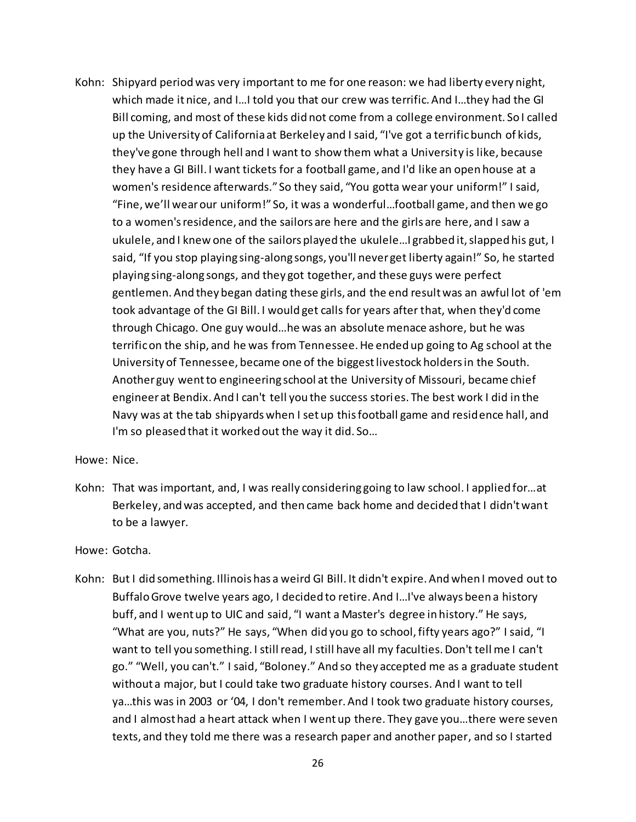Kohn: Shipyard period was very important to me for one reason: we had liberty every night, which made it nice, and I…I told you that our crew was terrific. And I…they had the GI Bill coming, and most of these kids did not come from a college environment. So I called up the University of California at Berkeley and I said, "I've got a terrific bunch of kids, they've gone through hell and I want to show them what a University is like, because they have a GI Bill. I want tickets for a football game, and I'd like an open house at a women's residence afterwards." So they said, "You gotta wear your uniform!" I said, "Fine, we'll wear our uniform!" So, it was a wonderful…football game, and then we go to a women's residence, and the sailors are here and the girls are here, and I saw a ukulele, and I knew one of the sailors played the ukulele…I grabbed it, slapped his gut, I said, "If you stop playing sing-along songs, you'll never get liberty again!" So, he started playing sing-along songs, and they got together, and these guys were perfect gentlemen. And they began dating these girls, and the end result was an awful lot of 'em took advantage of the GI Bill. I would get calls for years after that, when they'd come through Chicago. One guy would…he was an absolute menace ashore, but he was terrific on the ship, and he was from Tennessee. He ended up going to Ag school at the University of Tennessee, became one of the biggest livestock holders in the South. Another guy went to engineering school at the University of Missouri, became chief engineer at Bendix. And I can't tell you the success stories. The best work I did in the Navy was at the tab shipyards when I set up this football game and residence hall, and I'm so pleased that it worked out the way it did. So…

Howe: Nice.

Kohn: That was important, and, I was really considering going to law school. I applied for…at Berkeley, and was accepted, and then came back home and decided that I didn't want to be a lawyer.

Howe: Gotcha.

Kohn: But I did something. Illinois has a weird GI Bill. It didn't expire. And when I moved out to Buffalo Grove twelve years ago, I decided to retire. And I…I've always been a history buff, and I went up to UIC and said, "I want a Master's degree in history." He says, "What are you, nuts?" He says, "When did you go to school, fifty years ago?" I said, "I want to tell you something. I still read, I still have all my faculties. Don't tell me I can't go." "Well, you can't." I said, "Boloney." And so they accepted me as a graduate student without a major, but I could take two graduate history courses. And I want to tell ya…this was in 2003 or '04, I don't remember. And I took two graduate history courses, and I almost had a heart attack when I went up there. They gave you…there were seven texts, and they told me there was a research paper and another paper, and so I started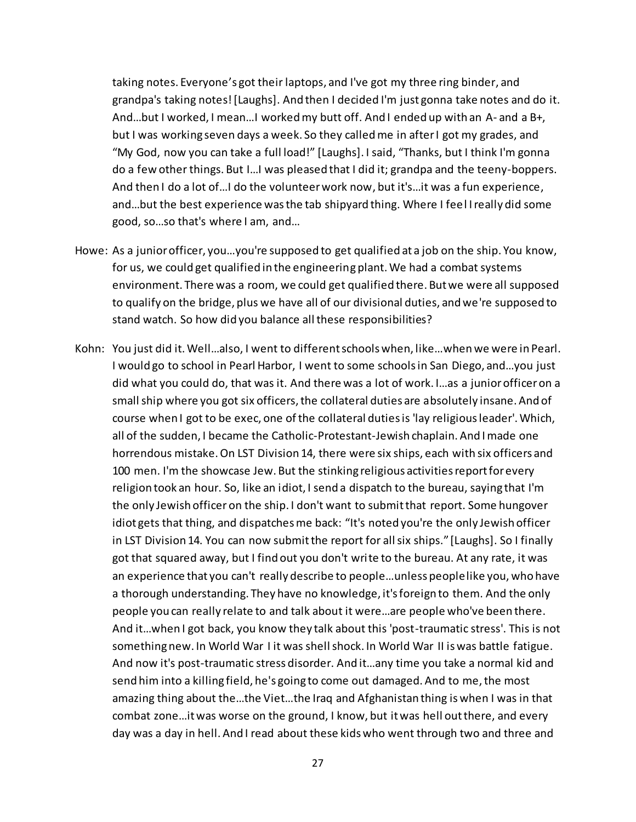taking notes. Everyone's got their laptops, and I've got my three ring binder, and grandpa's taking notes! [Laughs]. And then I decided I'm just gonna take notes and do it. And…but I worked, I mean…I worked my butt off. And I ended up with an A- and a B+, but I was working seven days a week. So they called me in after I got my grades, and "My God, now you can take a full load!" [Laughs]. I said, "Thanks, but I think I'm gonna do a few other things. But I…I was pleased that I did it; grandpa and the teeny-boppers. And then I do a lot of…I do the volunteer work now, but it's…it was a fun experience, and…but the best experience was the tab shipyard thing. Where I feel I really did some good, so…so that's where I am, and…

- Howe: As a junior officer, you…you're supposed to get qualified at a job on the ship. You know, for us, we could get qualified in the engineering plant. We had a combat systems environment. There was a room, we could get qualified there. But we were all supposed to qualify on the bridge, plus we have all of our divisional duties, and we're supposed to stand watch. So how did you balance all these responsibilities?
- Kohn: You just did it. Well…also, I went to different schools when, like…when we were in Pearl. I would go to school in Pearl Harbor, I went to some schools in San Diego, and…you just did what you could do, that was it. And there was a lot of work. I…as a junior officer on a small ship where you got six officers, the collateral duties are absolutely insane. And of course when I got to be exec, one of the collateral duties is 'lay religious leader'. Which, all of the sudden, I became the Catholic-Protestant-Jewish chaplain. And I made one horrendous mistake. On LST Division 14, there were six ships, each with six officers and 100 men. I'm the showcase Jew. But the stinking religious activities report for every religion took an hour. So, like an idiot, I send a dispatch to the bureau, saying that I'm the only Jewish officer on the ship. I don't want to submit that report. Some hungover idiot gets that thing, and dispatches me back: "It's noted you're the only Jewish officer in LST Division 14. You can now submit the report for all six ships." [Laughs]. So I finally got that squared away, but I find out you don't write to the bureau. At any rate, it was an experience that you can't really describe to people…unless people like you, who have a thorough understanding. They have no knowledge, it's foreign to them. And the only people you can really relate to and talk about it were…are people who've been there. And it…when I got back, you know they talk about this 'post-traumatic stress'. This is not something new. In World War I it was shell shock. In World War II is was battle fatigue. And now it's post-traumatic stress disorder. And it…any time you take a normal kid and send him into a killing field, he's going to come out damaged. And to me,the most amazing thing about the…the Viet…the Iraq and Afghanistan thing is when I was in that combat zone…it was worse on the ground, I know, but it was hell out there, and every day was a day in hell. And I read about these kids who went through two and three and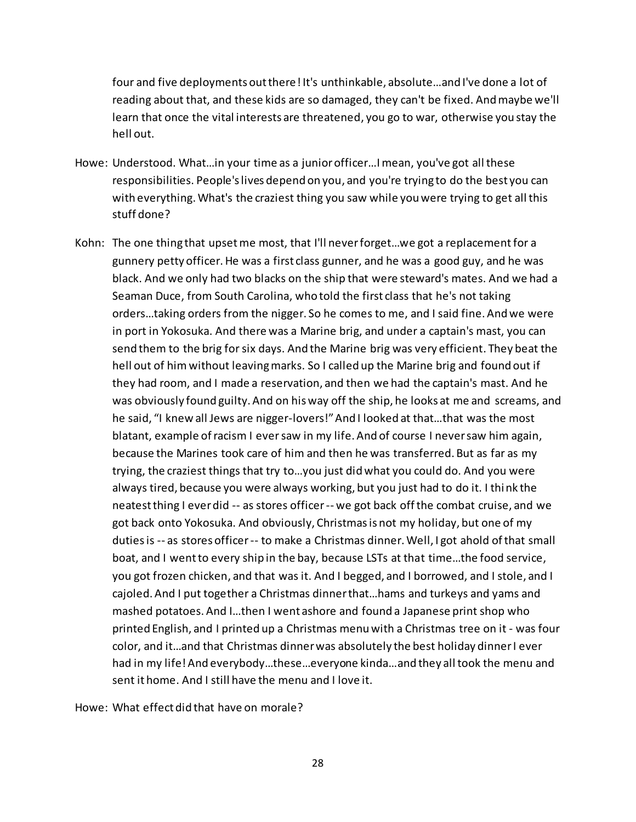four and five deployments out there! It's unthinkable, absolute…and I've done a lot of reading about that, and these kids are so damaged, they can't be fixed. And maybe we'll learn that once the vital interests are threatened, you go to war, otherwise you stay the hell out.

- Howe: Understood. What…in your time as a junior officer…I mean, you've got all these responsibilities. People's lives depend on you, and you're trying to do the best you can with everything. What's the craziest thing you saw while you were trying to get all this stuff done?
- Kohn: The one thing that upset me most, that I'll never forget…we got a replacementfor a gunnery petty officer. He was a first class gunner, and he was a good guy, and he was black. And we only had two blacks on the ship that were steward's mates. And we had a Seaman Duce, from South Carolina, who told the first class that he's not taking orders…taking orders from the nigger. So he comes to me, and I said fine. And we were in port in Yokosuka. And there was a Marine brig, and under a captain's mast, you can send them to the brig for six days. And the Marine brig was very efficient. They beat the hell out of himwithout leaving marks. So I called up the Marine brig and found out if they had room, and I made a reservation, and then we had the captain's mast. And he was obviously found guilty. And on his way off the ship, he looks at me and screams, and he said, "I knew all Jews are nigger-lovers!" And I looked at that…that was the most blatant, example of racism I eversaw in my life. And of course I never saw him again, because the Marines took care of him and then he was transferred. But as far as my trying, the craziest things that try to…you just did what you could do. And you were always tired, because you were always working, but you just had to do it. I think the neatest thing I ever did -- as stores officer -- we got back off the combat cruise, and we got back onto Yokosuka. And obviously, Christmas is not my holiday, but one of my duties is -- as stores officer -- to make a Christmas dinner. Well, I got ahold of that small boat, and I went to every ship in the bay, because LSTs at that time…the food service, you got frozen chicken, and that was it. And I begged, and I borrowed, and I stole, and I cajoled. And I put together a Christmas dinner that…hams and turkeys and yams and mashed potatoes. And I…then I went ashore and found a Japanese print shop who printed English, and I printed up a Christmas menu with a Christmas tree on it - was four color, and it…and that Christmas dinner was absolutely the best holiday dinner I ever had in my life! And everybody…these…everyone kinda…and they all took the menu and sent it home. And I still have the menu and I love it.

Howe: What effect did that have on morale?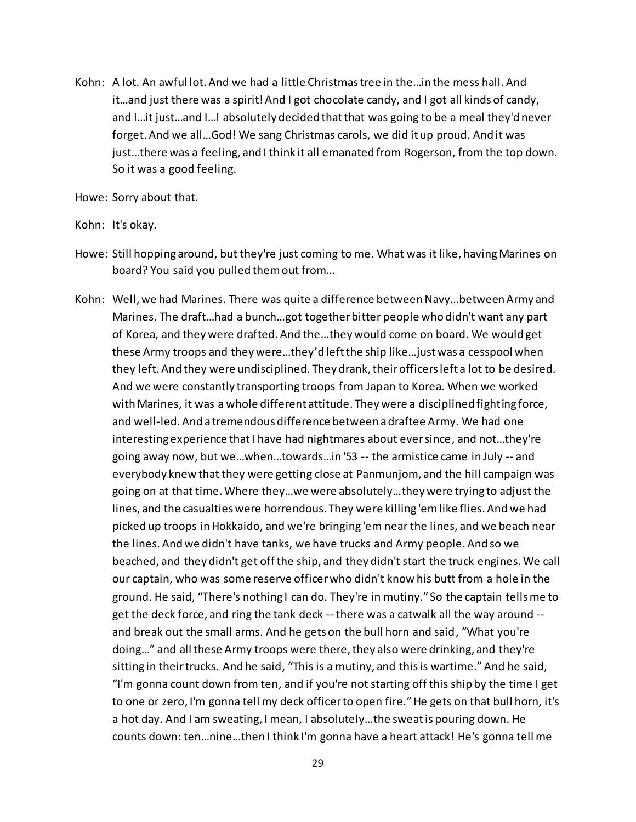Kohn: A lot. An awful lot. And we had a little Christmas tree in the…in the mess hall. And it…and just there was a spirit! And I got chocolate candy, and I got all kinds of candy, and I…it just…and I…I absolutely decided that that was going to be a meal they'd never forget. And we all…God! We sang Christmas carols, we did it up proud. And it was just…there was a feeling, and I think it all emanated from Rogerson, from the top down. So it was a good feeling.

Howe: Sorry about that.

Kohn: It's okay.

- Howe: Still hopping around, but they're just coming to me. What was it like, having Marines on board? You said you pulled them out from…
- Kohn: Well, we had Marines. There was quite a difference between Navy…between Army and Marines. The draft…had a bunch…got together bitter people who didn't want any part of Korea, and they were drafted. And the…they would come on board. We would get these Army troops and they were…they'd left the ship like…just was a cesspool when they left. And they were undisciplined. They drank, their officers left a lot to be desired. And we were constantly transporting troops from Japan to Korea. When we worked with Marines, it was a whole different attitude. They were a disciplined fighting force, and well-led. And a tremendous difference between a draftee Army. We had one interesting experience that I have had nightmares about ever since, and not…they're going away now, but we…when…towards…in '53 -- the armistice came in July -- and everybody knew that they were getting close at Panmunjom, and the hill campaign was going on at that time. Where they…we were absolutely…they were trying to adjust the lines, and the casualties were horrendous. They were killing 'em like flies. And we had picked up troops in Hokkaido, and we're bringing 'em near the lines, and we beach near the lines. And we didn't have tanks, we have trucks and Army people. And so we beached, and they didn't get off the ship, and they didn't start the truck engines. We call our captain, who was some reserve officer who didn't know his butt from a hole in the ground. He said, "There's nothing I can do. They're in mutiny." So the captain tells me to get the deck force, and ring the tank deck --there was a catwalk all the way around - and break out the small arms. And he gets on the bull horn and said, "What you're doing…" and all these Army troops were there, they also were drinking, and they're sitting in their trucks. And he said, "This is a mutiny, and this is wartime." And he said, "I'm gonna count down from ten, and if you're not starting off this ship by the time I get to one or zero, I'm gonna tell my deck officer to open fire."He gets on that bull horn, it's a hot day. And I am sweating, I mean, I absolutely…the sweat is pouring down. He counts down: ten…nine…then I think I'm gonna have a heart attack! He's gonna tell me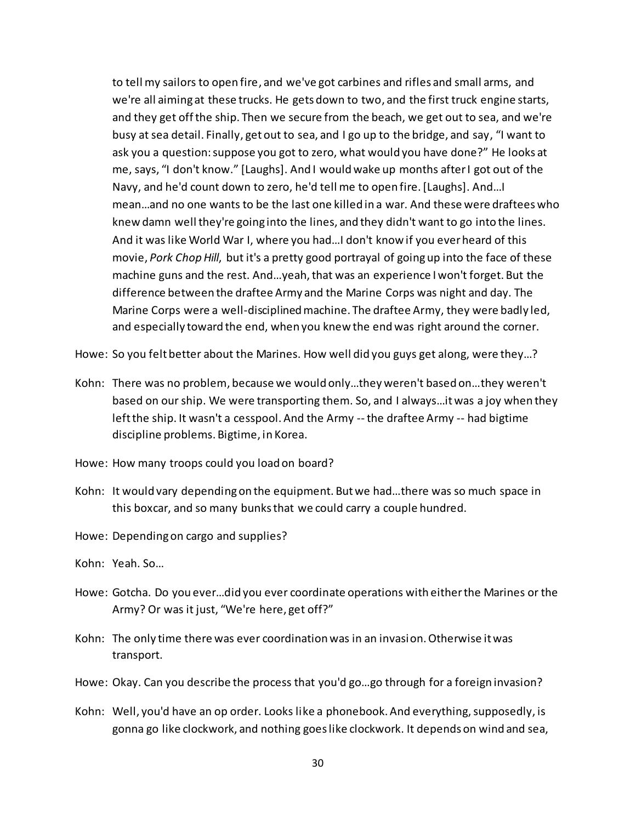to tell my sailors to open fire, and we've got carbines and rifles and small arms, and we're all aiming at these trucks. He gets down to two, and the first truck engine starts, and they get off the ship. Then we secure from the beach, we get out to sea, and we're busy at sea detail. Finally, get out to sea, and I go up to the bridge, and say, "I want to ask you a question: suppose you got to zero, what would you have done?" He looks at me, says, "I don't know." [Laughs]. And I would wake up months after I got out of the Navy, and he'd count down to zero, he'd tell me to open fire. [Laughs]. And…I mean…and no one wants to be the last one killed in a war. And these were draftees who knew damn well they're going into the lines, and they didn't want to go into the lines. And it was like World War I, where you had…I don't know if you ever heard of this movie, *Pork Chop Hill*, but it's a pretty good portrayal of going up into the face of these machine guns and the rest. And…yeah, that was an experience I won't forget. But the difference between the draftee Army and the Marine Corps was night and day. The Marine Corps were a well-disciplined machine. The draftee Army, they were badly led, and especially toward the end, when you knew the end was right around the corner.

Howe: So you felt better about the Marines. How well did you guys get along, were they…?

- Kohn: There was no problem, because we would only…they weren't based on…they weren't based on our ship. We were transporting them. So, and I always…it was a joy when they left the ship. It wasn't a cesspool. And the Army --the draftee Army -- had bigtime discipline problems. Bigtime, in Korea.
- Howe: How many troops could you load on board?
- Kohn: It would vary depending on the equipment. But we had…there was so much space in this boxcar, and so many bunks that we could carry a couple hundred.

Howe: Depending on cargo and supplies?

- Kohn: Yeah. So…
- Howe: Gotcha. Do you ever…did you ever coordinate operations with either the Marines or the Army? Or was it just, "We're here, get off?"
- Kohn: The only time there was ever coordination was in an invasion. Otherwise it was transport.
- Howe: Okay. Can you describe the process that you'd go…go through for a foreign invasion?
- Kohn: Well, you'd have an op order. Looks like a phonebook. And everything, supposedly, is gonna go like clockwork, and nothing goes like clockwork. It depends on wind and sea,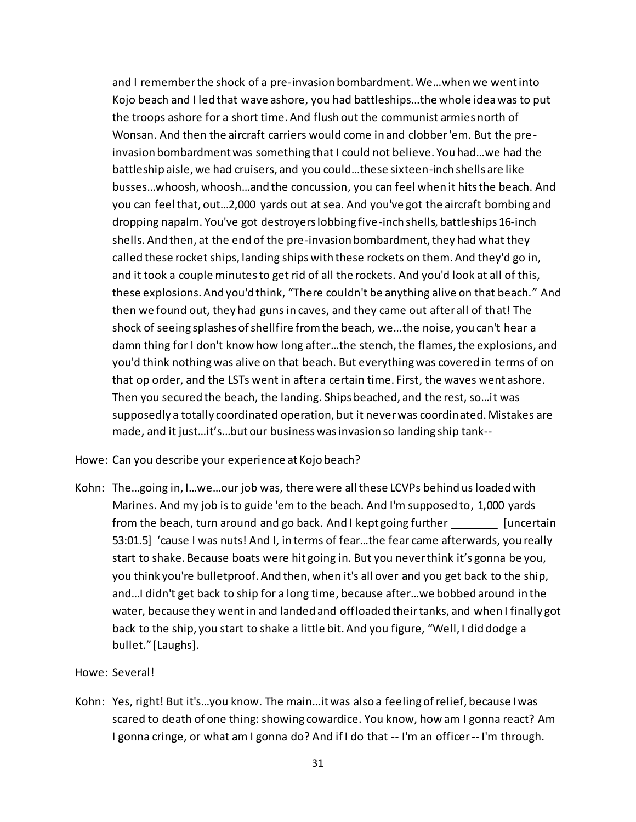and I remember the shock of a pre-invasion bombardment. We…when we went into Kojo beach and I led that wave ashore, you had battleships…the whole idea was to put the troops ashore for a short time. And flush out the communist armies north of Wonsan. And then the aircraft carriers would come in and clobber 'em. But the pre invasion bombardment was something that I could not believe. You had…we had the battleship aisle, we had cruisers, and you could…these sixteen-inch shells are like busses…whoosh, whoosh…and the concussion, you can feel when it hits the beach. And you can feel that, out…2,000 yards out at sea. And you've got the aircraft bombing and dropping napalm. You've got destroyers lobbing five-inch shells, battleships 16-inch shells. And then, at the end of the pre-invasion bombardment, they had what they called these rocket ships, landing ships with these rockets on them. And they'd go in, and it took a couple minutes to get rid of all the rockets. And you'd look at all of this, these explosions. And you'd think, "There couldn't be anything alive on that beach." And then we found out, they had guns in caves, and they came out after all of that! The shock of seeing splashes of shellfire from the beach, we…the noise, you can't hear a damn thing for I don't know how long after…the stench, the flames, the explosions, and you'd think nothing was alive on that beach. But everything was covered in terms of on that op order, and the LSTs went in after a certain time. First, the waves went ashore. Then you secured the beach, the landing. Ships beached, and the rest, so…it was supposedly a totally coordinated operation, but it never was coordinated. Mistakes are made, and it just…it's…but our business was invasion so landing ship tank--

Howe: Can you describe your experience at Kojo beach?

Kohn: The…going in, I…we…our job was, there were all these LCVPs behind us loaded with Marines. And my job is to guide 'em to the beach. And I'm supposed to, 1,000 yards from the beach, turn around and go back. And I kept going further [uncertain] 53:01.5] 'cause I was nuts! And I, in terms of fear…the fear came afterwards, you really start to shake. Because boats were hit going in. But you never think it's gonna be you, you think you're bulletproof. And then, when it's all over and you get back to the ship, and…I didn't get back to ship for a long time, because after…we bobbed around in the water, because they went in and landed and offloaded their tanks, and when I finally got back to the ship, you start to shake a little bit. And you figure, "Well, I did dodge a bullet." [Laughs].

## Howe: Several!

Kohn: Yes, right! But it's…you know. The main…it was also a feeling of relief, because I was scared to death of one thing: showing cowardice. You know, how am I gonna react? Am I gonna cringe, or what am I gonna do? And if I do that -- I'm an officer -- I'm through.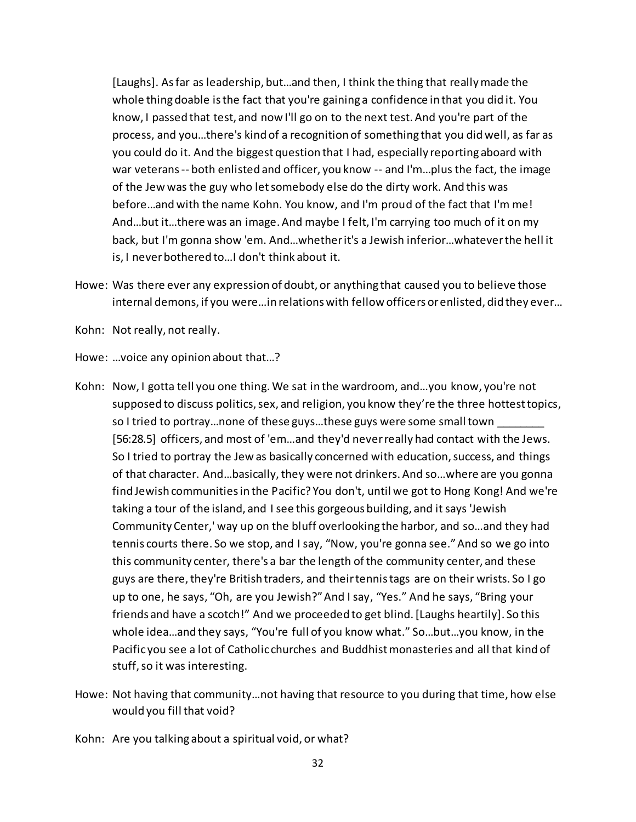[Laughs]. As far as leadership, but…and then, I think the thing that really made the whole thing doable is the fact that you're gaining a confidence in that you did it. You know, I passed that test, and now I'll go on to the next test. And you're part of the process, and you…there's kind of a recognition of something that you did well, as far as you could do it. And the biggest question that I had, especially reporting aboard with war veterans -- both enlisted and officer, you know -- and I'm...plus the fact, the image of the Jew was the guy who let somebody else do the dirty work. And this was before…and with the name Kohn. You know, and I'm proud of the fact that I'm me! And…but it…there was an image. And maybe I felt, I'm carrying too much of it on my back, but I'm gonna show 'em. And…whether it's a Jewish inferior…whatever the hell it is, I never bothered to…I don't think about it.

Howe: Was there ever any expression of doubt, or anything that caused you to believe those internal demons, if you were…in relations with fellow officers or enlisted, did they ever…

Kohn: Not really, not really.

Howe: …voice any opinion about that…?

- Kohn: Now, I gotta tell you one thing. We sat in the wardroom, and…you know, you're not supposed to discuss politics, sex, and religion, you know they're the three hottest topics, so I tried to portray...none of these guys...these guys were some small town [56:28.5] officers, and most of 'em…and they'd never really had contact with the Jews. So I tried to portray the Jew as basically concerned with education, success, and things of that character. And…basically, they were not drinkers. And so…where are you gonna find Jewish communities in the Pacific? You don't, until we got to Hong Kong! And we're taking a tour of the island, and I see this gorgeous building, and it says 'Jewish Community Center,' way up on the bluff overlooking the harbor, and so…and they had tennis courts there. So we stop, and I say, "Now, you're gonna see." And so we go into this community center, there's a bar the length of the community center, and these guys are there, they're British traders, and their tennis tags are on their wrists. So I go up to one, he says, "Oh, are you Jewish?" And I say, "Yes." And he says, "Bring your friends and have a scotch!" And we proceeded to get blind. [Laughs heartily]. So this whole idea…and they says, "You're full of you know what." So…but…you know, in the Pacific you see a lot of Catholic churches and Buddhist monasteries and all that kind of stuff, so it was interesting.
- Howe: Not having that community…not having that resource to you during that time, how else would you fill that void?
- Kohn: Are you talking about a spiritual void, or what?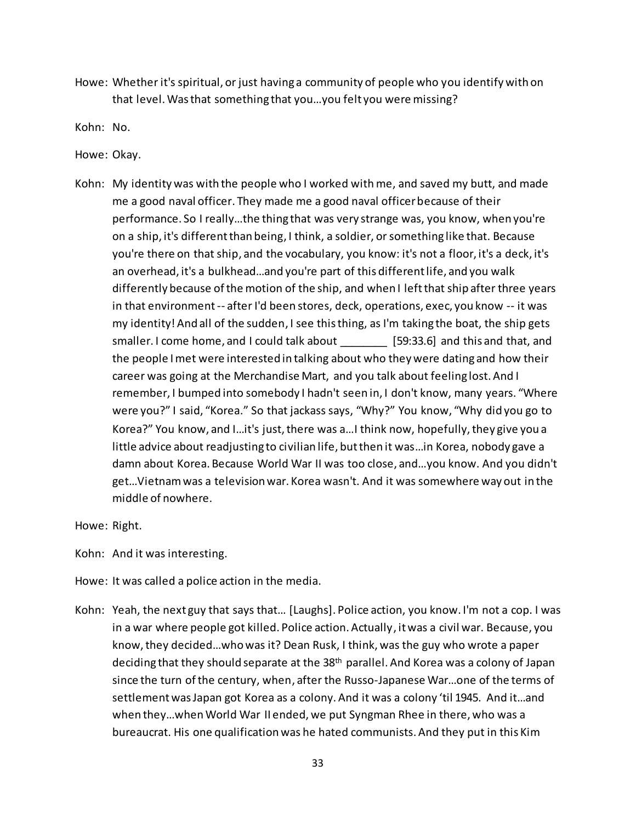Howe: Whether it's spiritual, or just having a community of people who you identify with on that level. Was that something that you…you felt you were missing?

Kohn: No.

Howe: Okay.

Kohn: My identity was with the people who I worked withme, and saved my butt, and made me a good naval officer. They made me a good naval officer because of their performance. So I really…the thing that was very strange was, you know, when you're on a ship, it's different than being, I think, a soldier, or something like that. Because you're there on that ship, and the vocabulary, you know: it's not a floor, it's a deck, it's an overhead, it's a bulkhead…and you're part of this different life, and you walk differently because of the motion of the ship, and when I left that ship after three years in that environment-- after I'd been stores, deck, operations, exec, you know -- it was my identity! And all of the sudden, I see this thing, as I'm taking the boat, the ship gets smaller. I come home, and I could talk about \_\_\_\_\_\_\_\_ [59:33.6] and this and that, and the people I met were interested in talking about who they were dating and how their career was going at the Merchandise Mart, and you talk about feeling lost. And I remember, I bumped into somebody I hadn't seen in, I don't know, many years. "Where were you?" I said, "Korea." So that jackass says, "Why?" You know, "Why did you go to Korea?" You know, and I…it's just, there was a…I think now, hopefully, they give you a little advice about readjusting to civilian life, but then it was…in Korea, nobody gave a damn about Korea. Because World War II was too close, and…you know. And you didn't get…Vietnam was a television war. Korea wasn't. And it was somewhere way out in the middle of nowhere.

Howe: Right.

Kohn: And it was interesting.

Howe: It was called a police action in the media.

Kohn: Yeah, the next guy that says that… [Laughs]. Police action, you know. I'm not a cop. I was in a war where people got killed. Police action. Actually, it was a civil war. Because, you know, they decided…who was it? Dean Rusk, I think, was the guy who wrote a paper deciding that they should separate at the 38th parallel. And Korea was a colony of Japan since the turn of the century, when, after the Russo-Japanese War…one of the terms of settlement was Japan got Korea as a colony. And it was a colony 'til 1945. And it…and when they…when World War II ended, we put Syngman Rhee in there, who was a bureaucrat. His one qualification was he hated communists. And they put in this Kim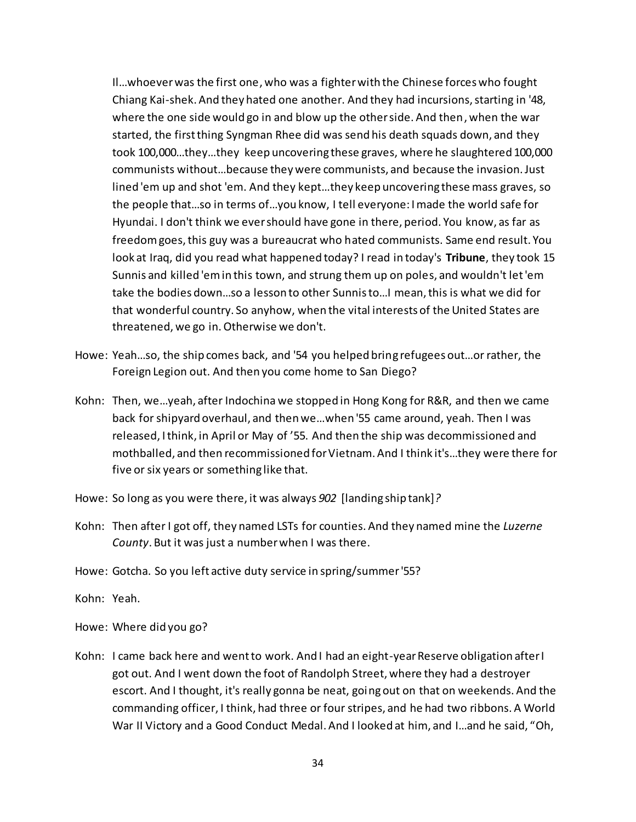Il…whoever was the first one, who was a fighter with the Chinese forces who fought Chiang Kai-shek. And they hated one another. And they had incursions, starting in '48, where the one side would go in and blow up the other side. And then, when the war started, the first thing Syngman Rhee did was send his death squads down, and they took 100,000…they…they keep uncovering these graves, where he slaughtered 100,000 communists without…because they were communists, and because the invasion. Just lined 'em up and shot 'em. And they kept…they keep uncovering these mass graves, so the people that…so in terms of…you know, I tell everyone: I made the world safe for Hyundai. I don't think we ever should have gone in there, period. You know, as far as freedom goes, this guy was a bureaucrat who hated communists. Same end result. You look at Iraq, did you read what happened today? I read in today's **Tribune**, they took 15 Sunnis and killed 'em in this town, and strung them up on poles, and wouldn't let 'em take the bodies down…so a lesson to other Sunnis to…I mean, this is what we did for that wonderful country. So anyhow, when the vital interests of the United States are threatened, we go in. Otherwise we don't.

- Howe: Yeah…so, the ship comes back, and '54 you helped bring refugees out…or rather, the Foreign Legion out. And then you come home to San Diego?
- Kohn: Then, we…yeah, after Indochina we stopped in Hong Kong for R&R, and then we came back for shipyard overhaul, and then we…when '55 came around, yeah. Then I was released, I think, in April or May of '55. And then the ship was decommissioned and mothballed, and then recommissioned for Vietnam. And I think it's…they were there for five or six years or something like that.
- Howe: So long as you were there, it was always *902* [landing ship tank]*?*
- Kohn: Then after I got off, they named LSTs for counties. And they named mine the *Luzerne County*. But it was just a number when I was there.
- Howe: Gotcha. So you left active duty service in spring/summer '55?
- Kohn: Yeah.

Howe: Where did you go?

Kohn: I came back here and went to work. And I had an eight-year Reserve obligation after I got out. And I went down the foot of Randolph Street, where they had a destroyer escort. And I thought, it's really gonna be neat, going out on that on weekends. And the commanding officer, I think, had three or four stripes, and he had two ribbons. A World War II Victory and a Good Conduct Medal. And I looked at him, and I…and he said, "Oh,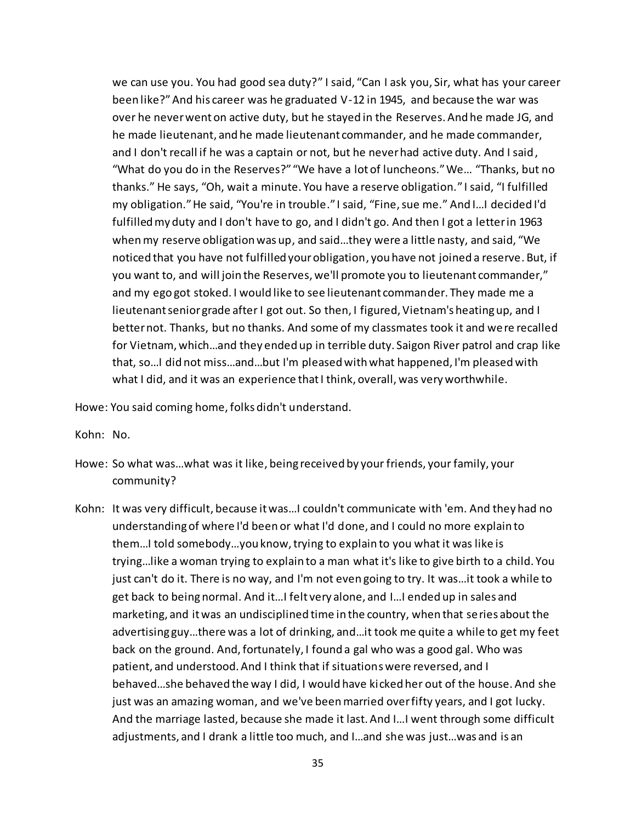we can use you. You had good sea duty?" I said, "Can I ask you, Sir, what has your career been like?" And his career was he graduated V-12 in 1945, and because the war was over he never went on active duty, but he stayed in the Reserves. And he made JG, and he made lieutenant, and he made lieutenant commander, and he made commander, and I don't recall if he was a captain or not, but he never had active duty. And I said, "What do you do in the Reserves?" "We have a lot of luncheons." We… "Thanks, but no thanks." He says, "Oh, wait a minute. You have a reserve obligation." I said, "I fulfilled my obligation." He said, "You're in trouble." I said, "Fine, sue me." And I…I decided I'd fulfilled my duty and I don't have to go, and I didn't go. And then I got a letter in 1963 when my reserve obligation was up, and said…they were a little nasty, and said, "We noticed that you have not fulfilled your obligation, you have not joined a reserve. But, if you want to, and will join the Reserves, we'll promote you to lieutenant commander," and my ego got stoked. I would like to see lieutenant commander. They made me a lieutenant senior grade after I got out. So then, I figured, Vietnam's heating up, and I better not. Thanks, but no thanks. And some of my classmates took it and were recalled for Vietnam, which…and they ended up in terrible duty. Saigon River patrol and crap like that, so…I did not miss…and…but I'm pleased with what happened, I'm pleased with what I did, and it was an experience that I think, overall, was very worthwhile.

Howe: You said coming home, folks didn't understand.

Kohn: No.

- Howe: So what was…what was it like, being received by your friends, your family, your community?
- Kohn: It was very difficult, because it was…I couldn't communicate with 'em. And they had no understanding of where I'd been or what I'd done, and I could no more explain to them…I told somebody…you know, trying to explain to you what it was like is trying…like a woman trying to explain to a man what it's like to give birth to a child. You just can't do it. There is no way, and I'm not even going to try. It was…it took a while to get back to being normal. And it…I felt very alone, and I…I ended up in sales and marketing, and it was an undisciplined time in the country, when that series about the advertising guy…there was a lot of drinking, and…it took me quite a while to get my feet back on the ground. And, fortunately, I found a gal who was a good gal. Who was patient, and understood. And I think that if situations were reversed, and I behaved…she behaved the way I did, I would have kicked her out of the house. And she just was an amazing woman, and we've been married over fifty years, and I got lucky. And the marriage lasted, because she made it last. And I…I went through some difficult adjustments, and I drank a little too much, and I…and she was just…was and is an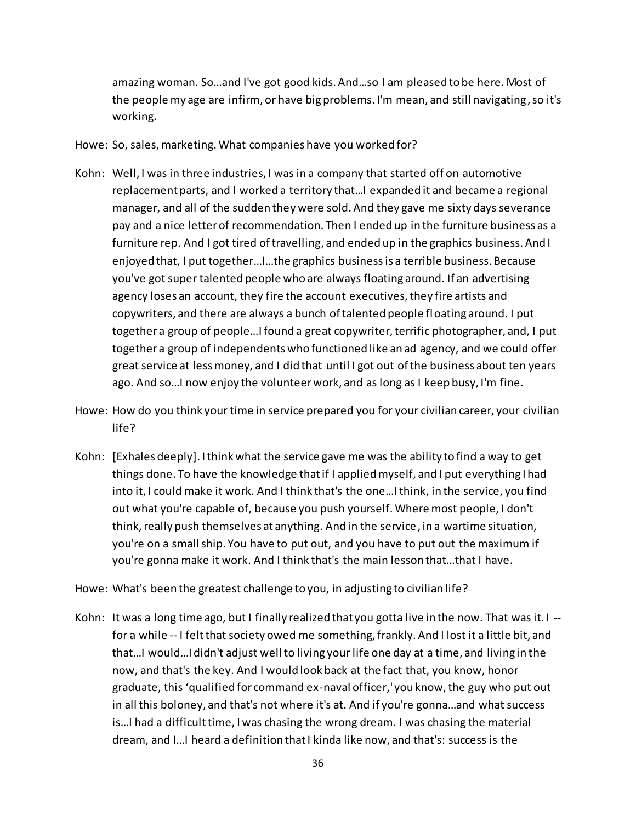amazing woman. So…and I've got good kids. And…so I am pleased to be here. Most of the people my age are infirm, or have big problems. I'm mean, and still navigating, so it's working.

- Howe: So, sales, marketing. What companies have you worked for?
- Kohn: Well, I was in three industries, I was in a company that started off on automotive replacement parts, and I worked a territory that…I expanded it and became a regional manager, and all of the sudden they were sold. And they gave me sixty days severance pay and a nice letter of recommendation. Then I ended up in the furniture business as a furniture rep. And I got tired of travelling, and ended up in the graphics business. And I enjoyed that, I put together…I…the graphics business is a terrible business. Because you've got super talented people who are always floating around. If an advertising agency loses an account, they fire the account executives, they fire artists and copywriters, and there are always a bunch of talented people floating around. I put together a group of people…I found a great copywriter, terrific photographer, and, I put together a group of independents who functioned like an ad agency, and we could offer great service at less money, and I did that until I got out of the business about ten years ago. And so…I now enjoy the volunteer work, and as long as I keep busy, I'm fine.
- Howe: How do you think your time in service prepared you for your civilian career, your civilian life?
- Kohn: [Exhales deeply]. I think what the service gave me was the ability to find a way to get things done. To have the knowledge that if I applied myself, and I put everything I had into it, I could make it work. And I think that's the one…I think, in the service, you find out what you're capable of, because you push yourself. Where most people, I don't think, really push themselves at anything. And in the service, in a wartime situation, you're on a small ship. You have to put out, and you have to put out the maximum if you're gonna make it work. And I think that's the main lesson that…that I have.
- Howe: What's been the greatest challenge to you, in adjusting to civilian life?
- Kohn: It was a long time ago, but I finally realized that you gotta live in the now. That was it.  $I$ for a while -- I felt that society owed me something, frankly. And I lost it a little bit, and that…I would…I didn't adjust well to living your life one day at a time, and living in the now, and that's the key. And I would look back at the fact that, you know, honor graduate, this 'qualified for command ex-naval officer,' you know, the guy who put out in all this boloney, and that's not where it's at. And if you're gonna…and what success is…I had a difficult time, I was chasing the wrong dream. I was chasing the material dream, and I…I heard a definition that I kinda like now, and that's: success is the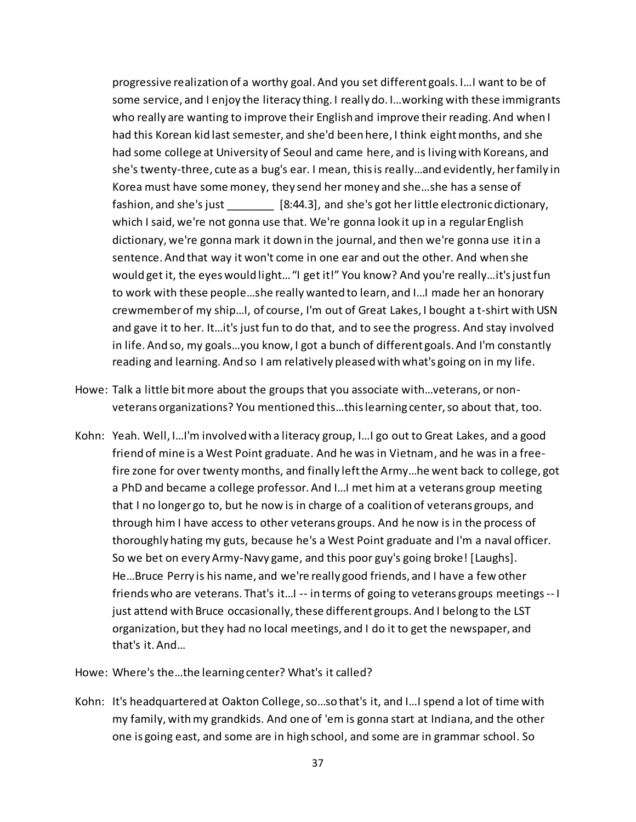progressive realization of a worthy goal. And you set different goals. I…I want to be of some service, and I enjoy the literacy thing. I really do. I…working with these immigrants who really are wanting to improve their English and improve their reading. And when I had this Korean kid last semester, and she'd been here, I think eight months, and she had some college at University of Seoul and came here, and is living with Koreans, and she's twenty-three, cute as a bug's ear. I mean, this is really…and evidently, her family in Korea must have some money, they send her money and she…she has a sense of fashion, and she's just [8:44.3], and she's got her little electronic dictionary, which I said, we're not gonna use that. We're gonna look it up in a regular English dictionary, we're gonna mark it down in the journal, and then we're gonna use it in a sentence. And that way it won't come in one ear and out the other. And when she would get it, the eyes would light… "I get it!" You know? And you're really…it's just fun to work with these people…she really wanted to learn, and I…I made her an honorary crewmember of my ship…I, of course, I'm out of Great Lakes, I bought a t-shirt with USN and gave it to her. It…it's just fun to do that, and to see the progress. And stay involved in life. And so, my goals…you know, I got a bunch of different goals. And I'm constantly reading and learning. And so I am relatively pleased with what's going on in my life.

- Howe: Talk a little bit more about the groups that you associate with…veterans, or nonveterans organizations? You mentioned this…this learning center, so about that, too.
- Kohn: Yeah. Well, I…I'm involved with a literacy group, I…I go out to Great Lakes, and a good friend of mine is a West Point graduate. And he was in Vietnam, and he was in a freefire zone for over twenty months, and finally left the Army…he went back to college, got a PhD and became a college professor. And I…I met him at a veterans group meeting that I no longer go to, but he now is in charge of a coalition of veterans groups, and through him I have access to other veterans groups. And he now is in the process of thoroughly hating my guts, because he's a West Point graduate and I'm a naval officer. So we bet on every Army-Navy game, and this poor guy's going broke! [Laughs]. He…Bruce Perry is his name, and we're really good friends, and I have a few other friends who are veterans. That's it…I -- in terms of going to veterans groups meetings -- I just attend with Bruce occasionally, these different groups. And I belong to the LST organization, but they had no local meetings, and I do it to get the newspaper, and that's it. And…

Howe: Where's the…the learning center? What's it called?

Kohn: It's headquartered at Oakton College, so…so that's it, and I…I spend a lot of time with my family, with my grandkids. And one of 'em is gonna start at Indiana, and the other one is going east, and some are in high school, and some are in grammar school. So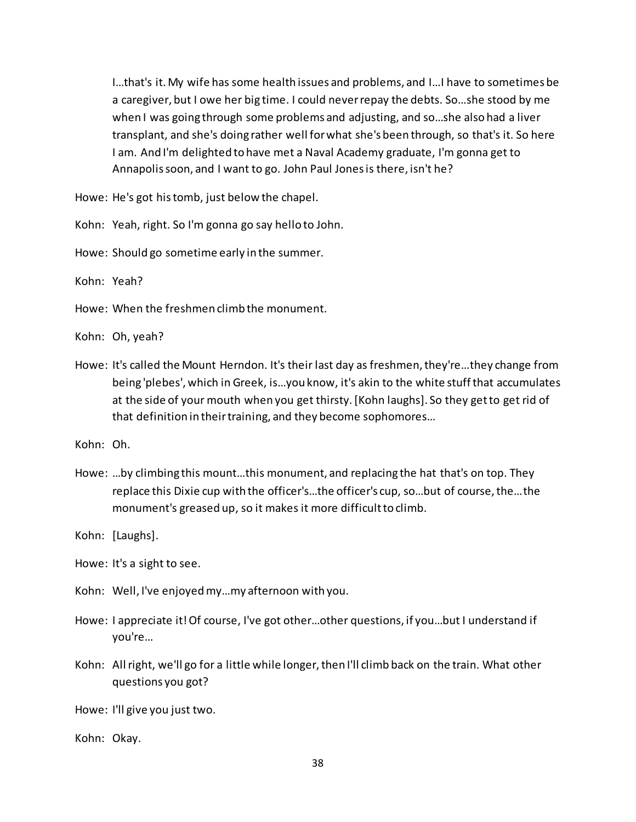I…that's it. My wife has some health issues and problems, and I…I have to sometimes be a caregiver, but I owe her big time. I could never repay the debts. So…she stood by me when I was going through some problems and adjusting, and so…she also had a liver transplant, and she's doing rather well for what she's been through, so that's it. So here I am. And I'm delighted to have met a Naval Academy graduate, I'm gonna get to Annapolis soon, and I want to go. John Paul Jones is there, isn't he?

Howe: He's got his tomb, just below the chapel.

Kohn: Yeah, right. So I'm gonna go say hello to John.

Howe: Should go sometime early in the summer.

Kohn: Yeah?

Howe: When the freshmen climb the monument.

Kohn: Oh, yeah?

Howe: It's called the Mount Herndon. It's their last day as freshmen, they're…they change from being 'plebes', which in Greek, is…you know, it's akin to the white stuff that accumulates at the side of your mouth when you get thirsty. [Kohn laughs]. So they get to get rid of that definition in their training, and they become sophomores…

Kohn: Oh.

Howe: …by climbing this mount…this monument, and replacing the hat that's on top. They replace this Dixie cup with the officer's…the officer's cup, so…but of course, the…the monument's greased up, so it makes it more difficult to climb.

Kohn: [Laughs].

Howe: It's a sight to see.

Kohn: Well, I've enjoyed my…my afternoon with you.

- Howe: I appreciate it! Of course, I've got other…other questions, if you…but I understand if you're…
- Kohn: All right, we'll go for a little while longer, then I'll climb back on the train. What other questions you got?

Howe: I'll give you just two.

Kohn: Okay.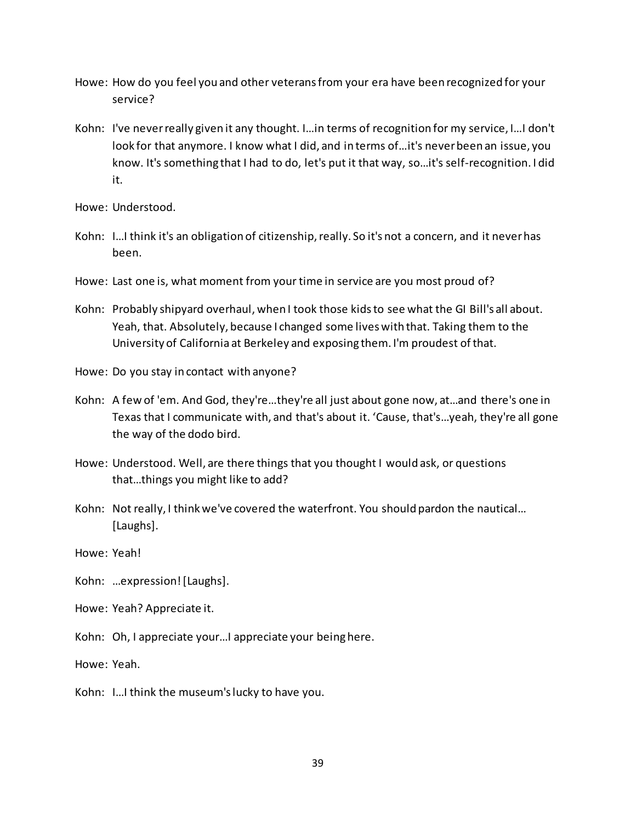- Howe: How do you feel you and other veterans from your era have been recognized for your service?
- Kohn: I've neverreally given it any thought. I…in terms of recognition for my service, I…I don't look for that anymore. I know what I did, and in terms of…it's never been an issue, you know. It's something that I had to do, let's put it that way, so…it's self-recognition. I did it.

Howe: Understood.

- Kohn: I…I think it's an obligation of citizenship, really. So it's not a concern, and it never has been.
- Howe: Last one is, what moment from your time in service are you most proud of?
- Kohn: Probably shipyard overhaul, when I took those kids to see what the GI Bill's all about. Yeah, that. Absolutely, because I changed some lives with that. Taking them to the University of California at Berkeley and exposing them. I'm proudest of that.
- Howe: Do you stay in contact with anyone?
- Kohn: A few of 'em. And God, they're…they're all just about gone now, at…and there's one in Texas that I communicate with, and that's about it. 'Cause, that's…yeah, they're all gone the way of the dodo bird.
- Howe: Understood. Well, are there things that you thought I would ask, or questions that…things you might like to add?
- Kohn: Not really, I think we've covered the waterfront. You should pardon the nautical… [Laughs].

Howe: Yeah!

Kohn: …expression! [Laughs].

Howe: Yeah? Appreciate it.

Kohn: Oh, I appreciate your…I appreciate your being here.

Howe: Yeah.

Kohn: I…I think the museum's lucky to have you.